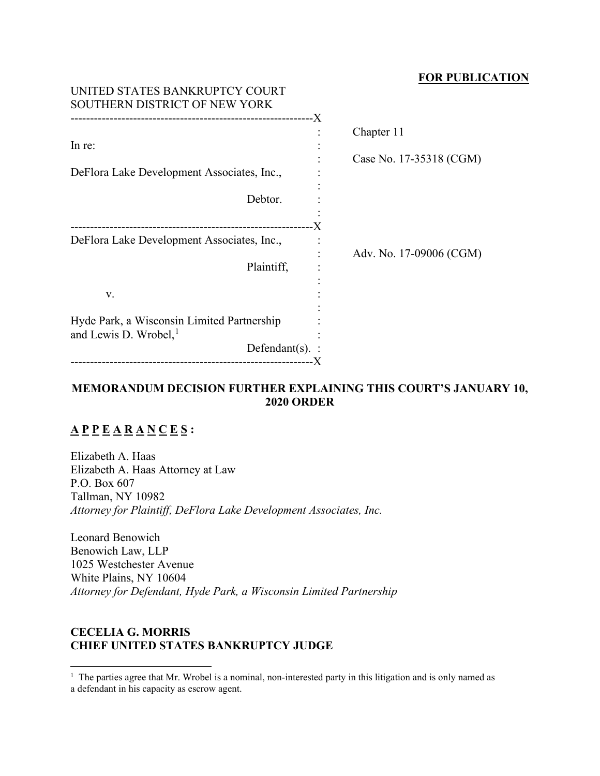### **FOR PUBLICATION**

| UNITED STATES BANKRUPTCY COURT<br>SOUTHERN DISTRICT OF NEW YORK |                     |                         |
|-----------------------------------------------------------------|---------------------|-------------------------|
|                                                                 |                     | Chapter 11              |
| In re:                                                          |                     |                         |
|                                                                 |                     | Case No. 17-35318 (CGM) |
| DeFlora Lake Development Associates, Inc.,                      |                     |                         |
|                                                                 |                     |                         |
| Debtor.                                                         |                     |                         |
|                                                                 |                     |                         |
| DeFlora Lake Development Associates, Inc.,                      |                     |                         |
|                                                                 |                     | Adv. No. 17-09006 (CGM) |
| Plaintiff,                                                      |                     |                         |
|                                                                 |                     |                         |
| V.                                                              |                     |                         |
|                                                                 |                     |                         |
| Hyde Park, a Wisconsin Limited Partnership                      |                     |                         |
| and Lewis D. Wrobel, $1$                                        |                     |                         |
|                                                                 | Defendant $(s)$ . : |                         |
|                                                                 |                     |                         |

# **MEMORANDUM DECISION FURTHER EXPLAINING THIS COURT'S JANUARY 10, 2020 ORDER**

# **A P P E A R A N C E S :**

Elizabeth A. Haas Elizabeth A. Haas Attorney at Law P.O. Box 607 Tallman, NY 10982 *Attorney for Plaintiff, DeFlora Lake Development Associates, Inc.*

Leonard Benowich Benowich Law, LLP 1025 Westchester Avenue White Plains, NY 10604 *Attorney for Defendant, Hyde Park, a Wisconsin Limited Partnership*

# **CECELIA G. MORRIS CHIEF UNITED STATES BANKRUPTCY JUDGE**

<span id="page-0-0"></span><sup>1</sup> The parties agree that Mr. Wrobel is a nominal, non-interested party in this litigation and is only named as a defendant in his capacity as escrow agent.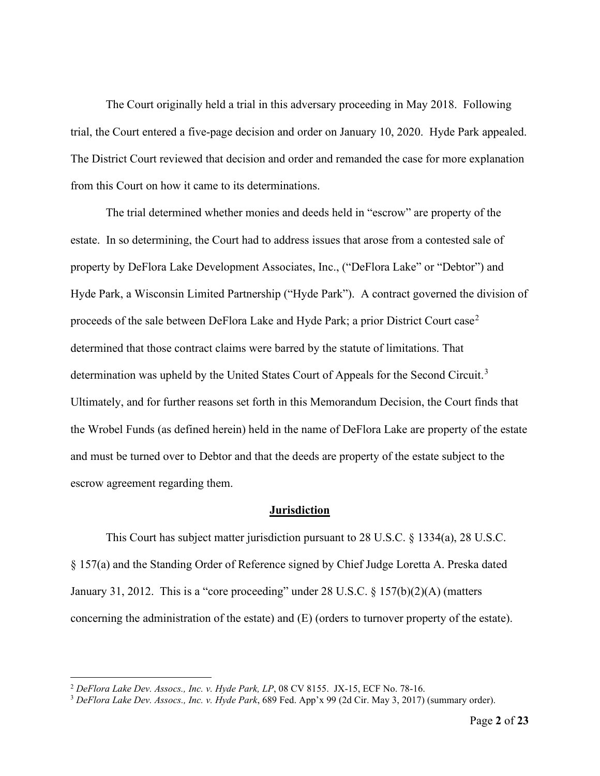The Court originally held a trial in this adversary proceeding in May 2018. Following trial, the Court entered a five-page decision and order on January 10, 2020. Hyde Park appealed. The District Court reviewed that decision and order and remanded the case for more explanation from this Court on how it came to its determinations.

The trial determined whether monies and deeds held in "escrow" are property of the estate. In so determining, the Court had to address issues that arose from a contested sale of property by DeFlora Lake Development Associates, Inc., ("DeFlora Lake" or "Debtor") and Hyde Park, a Wisconsin Limited Partnership ("Hyde Park"). A contract governed the division of proceeds of the sale between DeFlora Lake and Hyde Park; a prior District Court case<sup>[2](#page-1-0)</sup> determined that those contract claims were barred by the statute of limitations. That determination was upheld by the United States Court of Appeals for the Second Circuit.<sup>[3](#page-1-1)</sup> Ultimately, and for further reasons set forth in this Memorandum Decision, the Court finds that the Wrobel Funds (as defined herein) held in the name of DeFlora Lake are property of the estate and must be turned over to Debtor and that the deeds are property of the estate subject to the escrow agreement regarding them.

#### **Jurisdiction**

This Court has subject matter jurisdiction pursuant to 28 U.S.C. § 1334(a), 28 U.S.C. § 157(a) and the Standing Order of Reference signed by Chief Judge Loretta A. Preska dated January 31, 2012. This is a "core proceeding" under 28 U.S.C. § 157(b)(2)(A) (matters concerning the administration of the estate) and (E) (orders to turnover property of the estate).

<span id="page-1-1"></span>

<span id="page-1-0"></span><sup>&</sup>lt;sup>2</sup> *DeFlora Lake Dev. Assocs., Inc. v. Hyde Park, LP*, 08 CV 8155. JX-15, ECF No. 78-16.<br><sup>3</sup> *DeFlora Lake Dev. Assocs., Inc. v. Hyde Park*, 689 Fed. App'x 99 (2d Cir. May 3, 2017) (summary order).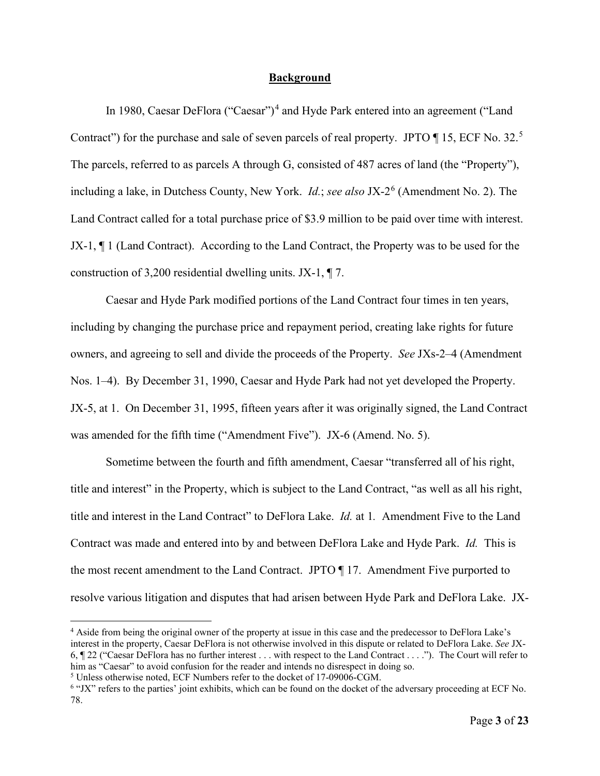#### **Background**

In 1980, Caesar DeFlora ("Caesar")<sup>[4](#page-2-0)</sup> and Hyde Park entered into an agreement ("Land Contract") for the purchase and sale of seven parcels of real property. JPTO  $\P$  1[5](#page-2-1), ECF No. 32.<sup>5</sup> The parcels, referred to as parcels A through G, consisted of 487 acres of land (the "Property"), including a lake, in Dutchess County, New York. *Id.*; *see also* JX-2<sup>[6](#page-2-2)</sup> (Amendment No. 2). The Land Contract called for a total purchase price of \$3.9 million to be paid over time with interest. JX-1, ¶ 1 (Land Contract). According to the Land Contract, the Property was to be used for the construction of 3,200 residential dwelling units. JX-1, ¶ 7.

Caesar and Hyde Park modified portions of the Land Contract four times in ten years, including by changing the purchase price and repayment period, creating lake rights for future owners, and agreeing to sell and divide the proceeds of the Property. *See* JXs-2–4 (Amendment Nos. 1–4). By December 31, 1990, Caesar and Hyde Park had not yet developed the Property. JX-5, at 1. On December 31, 1995, fifteen years after it was originally signed, the Land Contract was amended for the fifth time ("Amendment Five"). JX-6 (Amend. No. 5).

Sometime between the fourth and fifth amendment, Caesar "transferred all of his right, title and interest" in the Property, which is subject to the Land Contract, "as well as all his right, title and interest in the Land Contract" to DeFlora Lake. *Id.* at 1*.* Amendment Five to the Land Contract was made and entered into by and between DeFlora Lake and Hyde Park. *Id.* This is the most recent amendment to the Land Contract. JPTO ¶ 17. Amendment Five purported to resolve various litigation and disputes that had arisen between Hyde Park and DeFlora Lake. JX-

<span id="page-2-0"></span><sup>4</sup> Aside from being the original owner of the property at issue in this case and the predecessor to DeFlora Lake's interest in the property, Caesar DeFlora is not otherwise involved in this dispute or related to DeFlora Lake. *See* JX-6, ¶ 22 ("Caesar DeFlora has no further interest . . . with respect to the Land Contract . . . ."). The Court will refer to him as "Caesar" to avoid confusion for the reader and intends no disrespect in doing so.<br><sup>5</sup> Unless otherwise noted, ECF Numbers refer to the docket of 17-09006-CGM.

<span id="page-2-1"></span>

<span id="page-2-2"></span> $6$  "JX" refers to the parties' joint exhibits, which can be found on the docket of the adversary proceeding at ECF No. 78.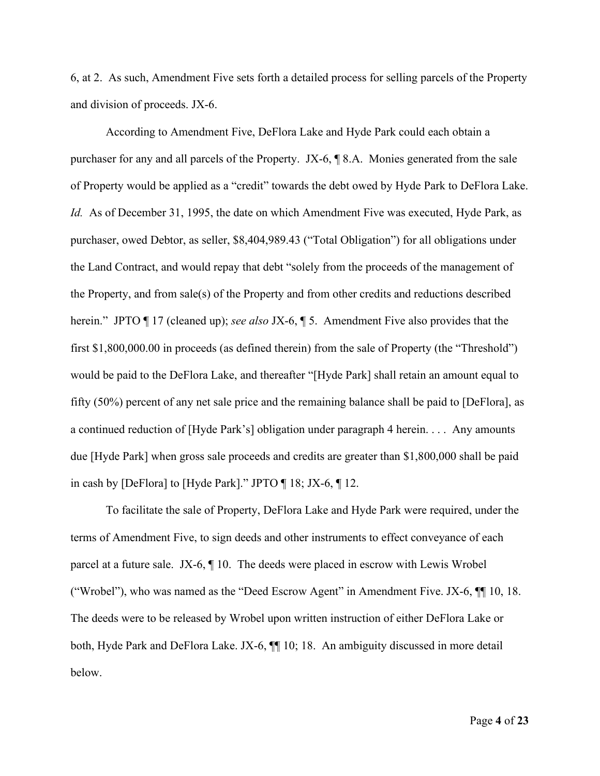6, at 2. As such, Amendment Five sets forth a detailed process for selling parcels of the Property and division of proceeds. JX-6.

According to Amendment Five, DeFlora Lake and Hyde Park could each obtain a purchaser for any and all parcels of the Property. JX-6, ¶ 8.A. Monies generated from the sale of Property would be applied as a "credit" towards the debt owed by Hyde Park to DeFlora Lake. *Id.* As of December 31, 1995, the date on which Amendment Five was executed, Hyde Park, as purchaser, owed Debtor, as seller, \$8,404,989.43 ("Total Obligation") for all obligations under the Land Contract, and would repay that debt "solely from the proceeds of the management of the Property, and from sale(s) of the Property and from other credits and reductions described herein." JPTO ¶ 17 (cleaned up); *see also* JX-6, ¶ 5. Amendment Five also provides that the first \$1,800,000.00 in proceeds (as defined therein) from the sale of Property (the "Threshold") would be paid to the DeFlora Lake, and thereafter "[Hyde Park] shall retain an amount equal to fifty (50%) percent of any net sale price and the remaining balance shall be paid to [DeFlora], as a continued reduction of [Hyde Park's] obligation under paragraph 4 herein. . . . Any amounts due [Hyde Park] when gross sale proceeds and credits are greater than \$1,800,000 shall be paid in cash by [DeFlora] to [Hyde Park]." JPTO ¶ 18; JX-6, ¶ 12.

To facilitate the sale of Property, DeFlora Lake and Hyde Park were required, under the terms of Amendment Five, to sign deeds and other instruments to effect conveyance of each parcel at a future sale. JX-6, ¶ 10. The deeds were placed in escrow with Lewis Wrobel ("Wrobel"), who was named as the "Deed Escrow Agent" in Amendment Five. JX-6, ¶¶ 10, 18. The deeds were to be released by Wrobel upon written instruction of either DeFlora Lake or both, Hyde Park and DeFlora Lake. JX-6, ¶¶ 10; 18. An ambiguity discussed in more detail below.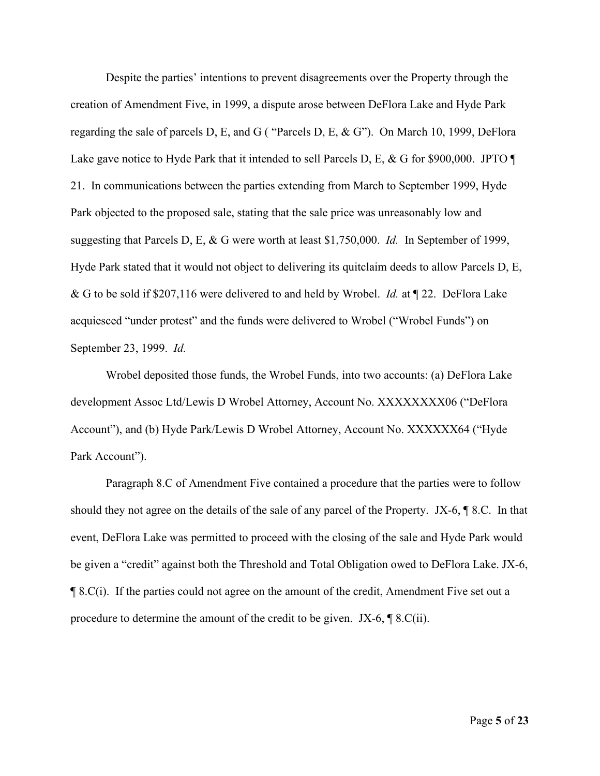Despite the parties' intentions to prevent disagreements over the Property through the creation of Amendment Five, in 1999, a dispute arose between DeFlora Lake and Hyde Park regarding the sale of parcels D, E, and G ( "Parcels D, E, & G"). On March 10, 1999, DeFlora Lake gave notice to Hyde Park that it intended to sell Parcels D, E, & G for \$900,000. JPTO  $\P$ 21. In communications between the parties extending from March to September 1999, Hyde Park objected to the proposed sale, stating that the sale price was unreasonably low and suggesting that Parcels D, E, & G were worth at least \$1,750,000. *Id.* In September of 1999, Hyde Park stated that it would not object to delivering its quitclaim deeds to allow Parcels D, E, & G to be sold if \$207,116 were delivered to and held by Wrobel. *Id.* at ¶ 22. DeFlora Lake acquiesced "under protest" and the funds were delivered to Wrobel ("Wrobel Funds") on September 23, 1999. *Id.*

Wrobel deposited those funds, the Wrobel Funds, into two accounts: (a) DeFlora Lake development Assoc Ltd/Lewis D Wrobel Attorney, Account No. XXXXXXXX06 ("DeFlora Account"), and (b) Hyde Park/Lewis D Wrobel Attorney, Account No. XXXXXX64 ("Hyde Park Account").

Paragraph 8.C of Amendment Five contained a procedure that the parties were to follow should they not agree on the details of the sale of any parcel of the Property. JX-6, ¶ 8.C. In that event, DeFlora Lake was permitted to proceed with the closing of the sale and Hyde Park would be given a "credit" against both the Threshold and Total Obligation owed to DeFlora Lake. JX-6, ¶ 8.C(i). If the parties could not agree on the amount of the credit, Amendment Five set out a procedure to determine the amount of the credit to be given. JX-6, ¶ 8.C(ii).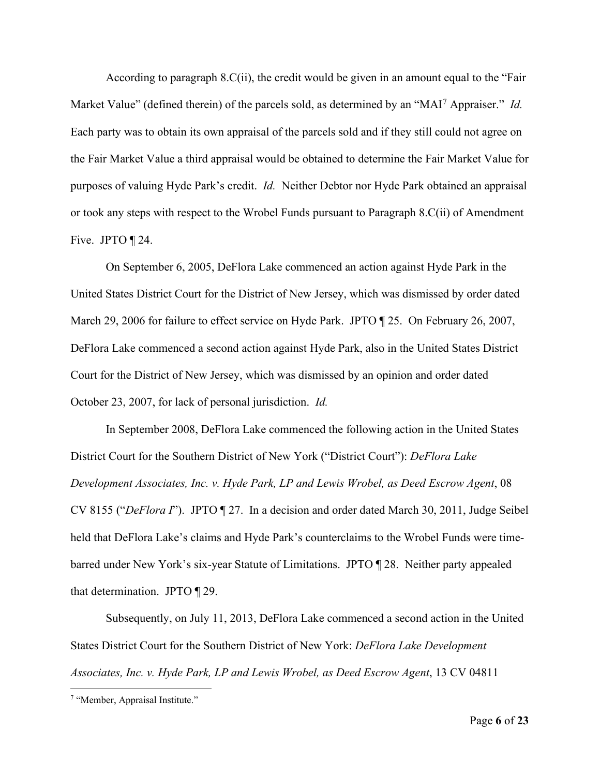According to paragraph 8.C(ii), the credit would be given in an amount equal to the "Fair Market Value" (defined therein) of the parcels sold, as determined by an "MAI[7](#page-5-0) Appraiser." *Id.* Each party was to obtain its own appraisal of the parcels sold and if they still could not agree on the Fair Market Value a third appraisal would be obtained to determine the Fair Market Value for purposes of valuing Hyde Park's credit. *Id.* Neither Debtor nor Hyde Park obtained an appraisal or took any steps with respect to the Wrobel Funds pursuant to Paragraph 8.C(ii) of Amendment Five. JPTO ¶ 24.

On September 6, 2005, DeFlora Lake commenced an action against Hyde Park in the United States District Court for the District of New Jersey, which was dismissed by order dated March 29, 2006 for failure to effect service on Hyde Park. JPTO ¶ 25. On February 26, 2007, DeFlora Lake commenced a second action against Hyde Park, also in the United States District Court for the District of New Jersey, which was dismissed by an opinion and order dated October 23, 2007, for lack of personal jurisdiction. *Id.*

In September 2008, DeFlora Lake commenced the following action in the United States District Court for the Southern District of New York ("District Court"): *DeFlora Lake Development Associates, Inc. v. Hyde Park, LP and Lewis Wrobel, as Deed Escrow Agent*, 08 CV 8155 ("*DeFlora I*"). JPTO ¶ 27. In a decision and order dated March 30, 2011, Judge Seibel held that DeFlora Lake's claims and Hyde Park's counterclaims to the Wrobel Funds were timebarred under New York's six-year Statute of Limitations. JPTO ¶ 28. Neither party appealed that determination. JPTO ¶ 29.

Subsequently, on July 11, 2013, DeFlora Lake commenced a second action in the United States District Court for the Southern District of New York: *DeFlora Lake Development Associates, Inc. v. Hyde Park, LP and Lewis Wrobel, as Deed Escrow Agent*, 13 CV 04811

<span id="page-5-0"></span><sup>7</sup> "Member, Appraisal Institute."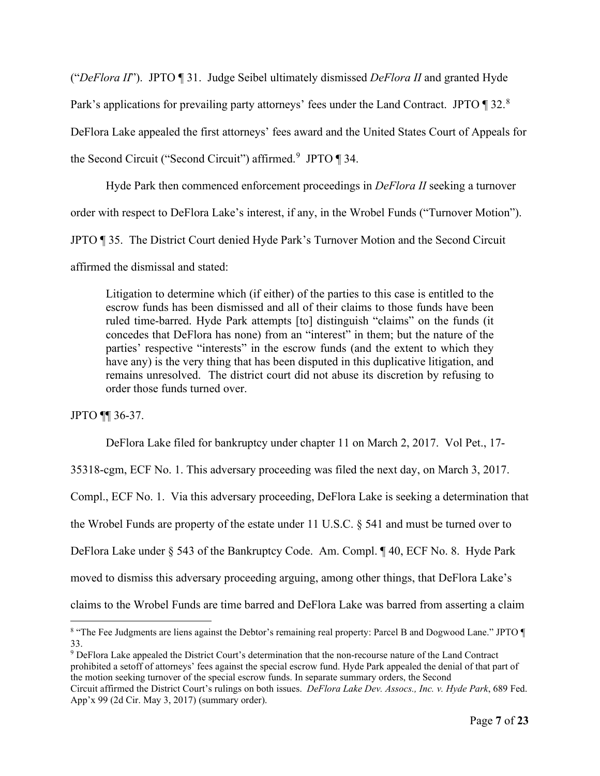("*DeFlora II*"). JPTO ¶ 31. Judge Seibel ultimately dismissed *DeFlora II* and granted Hyde Park's applications for prevailing party attorneys' fees under the Land Contract. JPTO ¶ 32.<sup>[8](#page-6-0)</sup> DeFlora Lake appealed the first attorneys' fees award and the United States Court of Appeals for the Second Circuit ("Second Circuit") affirmed.<sup>[9](#page-6-1)</sup> JPTO  $\P$  34.

Hyde Park then commenced enforcement proceedings in *DeFlora II* seeking a turnover order with respect to DeFlora Lake's interest, if any, in the Wrobel Funds ("Turnover Motion"). JPTO ¶ 35. The District Court denied Hyde Park's Turnover Motion and the Second Circuit affirmed the dismissal and stated:

Litigation to determine which (if either) of the parties to this case is entitled to the escrow funds has been dismissed and all of their claims to those funds have been ruled time-barred. Hyde Park attempts [to] distinguish "claims" on the funds (it concedes that DeFlora has none) from an "interest" in them; but the nature of the parties' respective "interests" in the escrow funds (and the extent to which they have any) is the very thing that has been disputed in this duplicative litigation, and remains unresolved. The district court did not abuse its discretion by refusing to order those funds turned over.

JPTO ¶¶ 36-37.

DeFlora Lake filed for bankruptcy under chapter 11 on March 2, 2017. Vol Pet., 17-

35318-cgm, ECF No. 1. This adversary proceeding was filed the next day, on March 3, 2017.

Compl., ECF No. 1. Via this adversary proceeding, DeFlora Lake is seeking a determination that

the Wrobel Funds are property of the estate under 11 U.S.C. § 541 and must be turned over to

DeFlora Lake under § 543 of the Bankruptcy Code. Am. Compl. ¶ 40, ECF No. 8. Hyde Park

moved to dismiss this adversary proceeding arguing, among other things, that DeFlora Lake's

claims to the Wrobel Funds are time barred and DeFlora Lake was barred from asserting a claim

<span id="page-6-1"></span><sup>9</sup> DeFlora Lake appealed the District Court's determination that the non-recourse nature of the Land Contract prohibited a setoff of attorneys' fees against the special escrow fund. Hyde Park appealed the denial of that part of the motion seeking turnover of the special escrow funds. In separate summary orders, the Second

<span id="page-6-0"></span><sup>8 &</sup>quot;The Fee Judgments are liens against the Debtor's remaining real property: Parcel B and Dogwood Lane." JPTO ¶ 33.

Circuit affirmed the District Court's rulings on both issues. *DeFlora Lake Dev. Assocs., Inc. v. Hyde Park*, 689 Fed. App'x 99 (2d Cir. May 3, 2017) (summary order).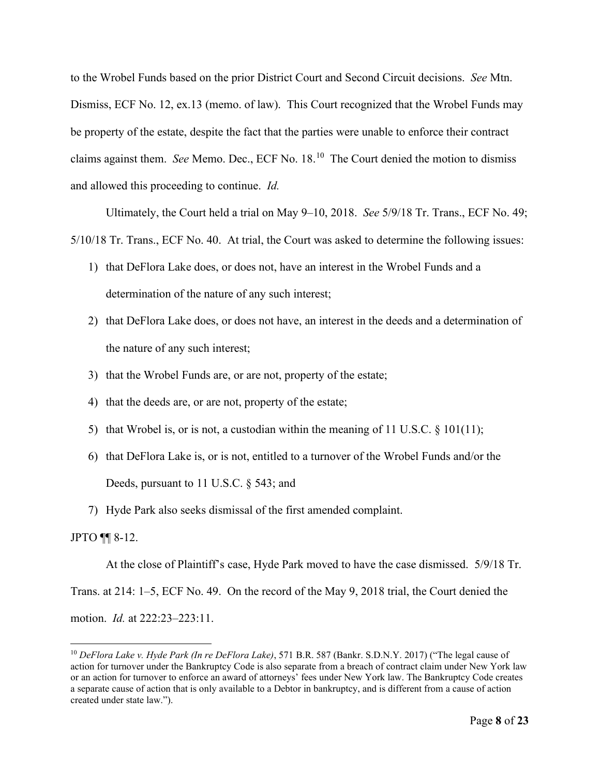to the Wrobel Funds based on the prior District Court and Second Circuit decisions. *See* Mtn. Dismiss, ECF No. 12, ex.13 (memo. of law). This Court recognized that the Wrobel Funds may be property of the estate, despite the fact that the parties were unable to enforce their contract claims against them. *See* Memo. Dec., ECF No. 18.[10](#page-7-0) The Court denied the motion to dismiss and allowed this proceeding to continue. *Id.*

Ultimately, the Court held a trial on May 9–10, 2018. *See* 5/9/18 Tr. Trans., ECF No. 49; 5/10/18 Tr. Trans., ECF No. 40. At trial, the Court was asked to determine the following issues:

- 1) that DeFlora Lake does, or does not, have an interest in the Wrobel Funds and a determination of the nature of any such interest;
- 2) that DeFlora Lake does, or does not have, an interest in the deeds and a determination of the nature of any such interest;
- 3) that the Wrobel Funds are, or are not, property of the estate;
- 4) that the deeds are, or are not, property of the estate;
- 5) that Wrobel is, or is not, a custodian within the meaning of 11 U.S.C.  $\S$  101(11);
- 6) that DeFlora Lake is, or is not, entitled to a turnover of the Wrobel Funds and/or the Deeds, pursuant to 11 U.S.C. § 543; and
- 7) Hyde Park also seeks dismissal of the first amended complaint.

### JPTO ¶¶ 8-12.

At the close of Plaintiff's case, Hyde Park moved to have the case dismissed. 5/9/18 Tr.

Trans. at 214: 1–5, ECF No. 49. On the record of the May 9, 2018 trial, the Court denied the motion. *Id.* at 222:23–223:11.

<span id="page-7-0"></span><sup>10</sup> *DeFlora Lake v. Hyde Park (In re DeFlora Lake)*, 571 B.R. 587 (Bankr. S.D.N.Y. 2017) ("The legal cause of action for turnover under the Bankruptcy Code is also separate from a breach of contract claim under New York law or an action for turnover to enforce an award of attorneys' fees under New York law. The Bankruptcy Code creates a separate cause of action that is only available to a Debtor in bankruptcy, and is different from a cause of action created under state law.").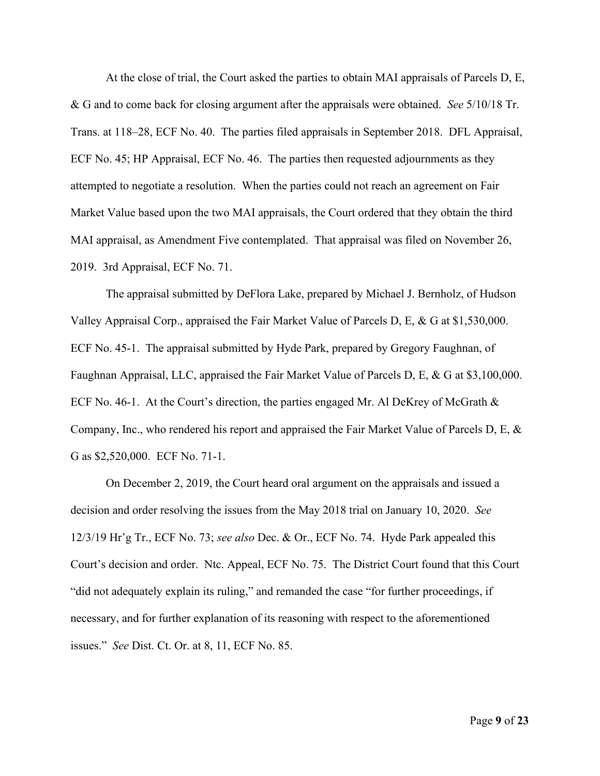At the close of trial, the Court asked the parties to obtain MAI appraisals of Parcels D, E, & G and to come back for closing argument after the appraisals were obtained. *See* 5/10/18 Tr. Trans. at 118–28, ECF No. 40. The parties filed appraisals in September 2018. DFL Appraisal, ECF No. 45; HP Appraisal, ECF No. 46. The parties then requested adjournments as they attempted to negotiate a resolution. When the parties could not reach an agreement on Fair Market Value based upon the two MAI appraisals, the Court ordered that they obtain the third MAI appraisal, as Amendment Five contemplated. That appraisal was filed on November 26, 2019. 3rd Appraisal, ECF No. 71.

The appraisal submitted by DeFlora Lake, prepared by Michael J. Bernholz, of Hudson Valley Appraisal Corp., appraised the Fair Market Value of Parcels D, E, & G at \$1,530,000. ECF No. 45-1. The appraisal submitted by Hyde Park, prepared by Gregory Faughnan, of Faughnan Appraisal, LLC, appraised the Fair Market Value of Parcels D, E, & G at \$3,100,000. ECF No. 46-1. At the Court's direction, the parties engaged Mr. Al DeKrey of McGrath & Company, Inc., who rendered his report and appraised the Fair Market Value of Parcels D, E, & G as \$2,520,000. ECF No. 71-1.

On December 2, 2019, the Court heard oral argument on the appraisals and issued a decision and order resolving the issues from the May 2018 trial on January 10, 2020. *See* 12/3/19 Hr'g Tr., ECF No. 73; *see also* Dec. & Or., ECF No. 74. Hyde Park appealed this Court's decision and order. Ntc. Appeal, ECF No. 75. The District Court found that this Court "did not adequately explain its ruling," and remanded the case "for further proceedings, if necessary, and for further explanation of its reasoning with respect to the aforementioned issues." *See* Dist. Ct. Or. at 8, 11, ECF No. 85.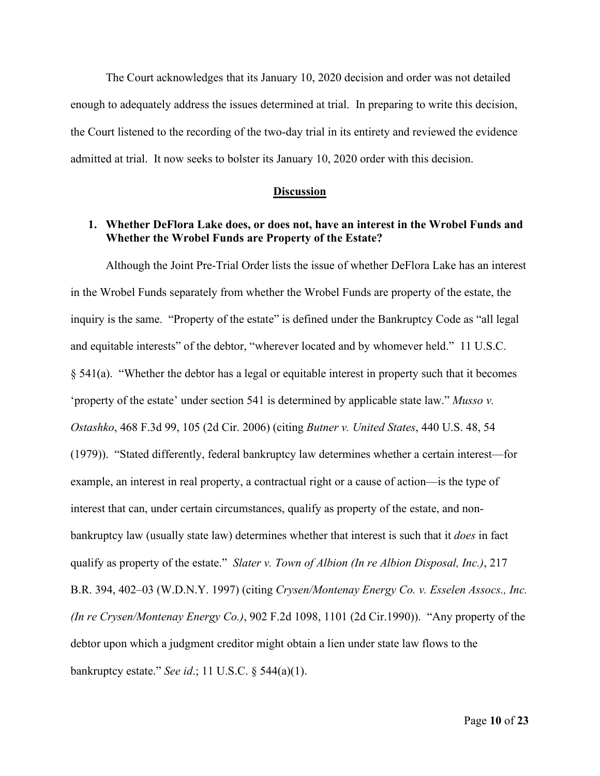The Court acknowledges that its January 10, 2020 decision and order was not detailed enough to adequately address the issues determined at trial. In preparing to write this decision, the Court listened to the recording of the two-day trial in its entirety and reviewed the evidence admitted at trial. It now seeks to bolster its January 10, 2020 order with this decision.

#### **Discussion**

### **1. Whether DeFlora Lake does, or does not, have an interest in the Wrobel Funds and Whether the Wrobel Funds are Property of the Estate?**

Although the Joint Pre-Trial Order lists the issue of whether DeFlora Lake has an interest in the Wrobel Funds separately from whether the Wrobel Funds are property of the estate, the inquiry is the same. "Property of the estate" is defined under the Bankruptcy Code as "all legal and equitable interests" of the debtor, "wherever located and by whomever held." 11 U.S.C. § 541(a). "Whether the debtor has a legal or equitable interest in property such that it becomes 'property of the estate' under section 541 is determined by applicable state law." *Musso v. Ostashko*, 468 F.3d 99, 105 (2d Cir. 2006) (citing *Butner v. United States*, 440 U.S. 48, 54 (1979)). "Stated differently, federal bankruptcy law determines whether a certain interest—for example, an interest in real property, a contractual right or a cause of action—is the type of interest that can, under certain circumstances, qualify as property of the estate, and nonbankruptcy law (usually state law) determines whether that interest is such that it *does* in fact qualify as property of the estate." *Slater v. Town of Albion (In re Albion Disposal, Inc.)*, 217 B.R. 394, 402–03 (W.D.N.Y. 1997) (citing *Crysen/Montenay Energy Co. v. Esselen Assocs., Inc. (In re Crysen/Montenay Energy Co.)*, 902 F.2d 1098, 1101 (2d Cir.1990)). "Any property of the debtor upon which a judgment creditor might obtain a lien under state law flows to the bankruptcy estate." *See id*.; 11 U.S.C. § 544(a)(1).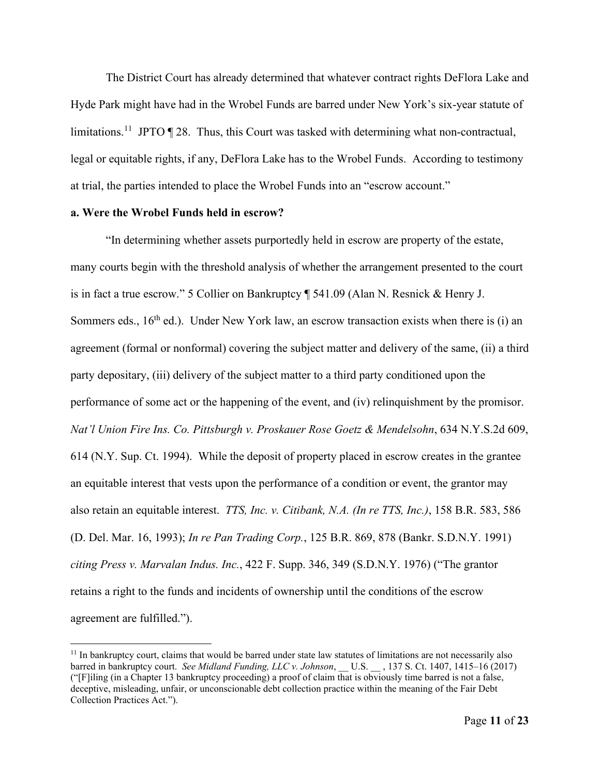The District Court has already determined that whatever contract rights DeFlora Lake and Hyde Park might have had in the Wrobel Funds are barred under New York's six-year statute of limitations.<sup>[11](#page-10-0)</sup> JPTO  $\P$  28. Thus, this Court was tasked with determining what non-contractual, legal or equitable rights, if any, DeFlora Lake has to the Wrobel Funds. According to testimony at trial, the parties intended to place the Wrobel Funds into an "escrow account."

### **a. Were the Wrobel Funds held in escrow?**

"In determining whether assets purportedly held in escrow are property of the estate, many courts begin with the threshold analysis of whether the arrangement presented to the court is in fact a true escrow." 5 Collier on Bankruptcy ¶ 541.09 (Alan N. Resnick & Henry J. Sommers eds.,  $16<sup>th</sup>$  ed.). Under New York law, an escrow transaction exists when there is (i) an agreement (formal or nonformal) covering the subject matter and delivery of the same, (ii) a third party depositary, (iii) delivery of the subject matter to a third party conditioned upon the performance of some act or the happening of the event, and (iv) relinquishment by the promisor. *Nat'l Union Fire Ins. Co. Pittsburgh v. Proskauer Rose Goetz & Mendelsohn*, 634 N.Y.S.2d 609, 614 (N.Y. Sup. Ct. 1994). While the deposit of property placed in escrow creates in the grantee an equitable interest that vests upon the performance of a condition or event, the grantor may also retain an equitable interest. *TTS, Inc. v. Citibank, N.A. (In re TTS, Inc.)*, 158 B.R. 583, 586 (D. Del. Mar. 16, 1993); *In re Pan Trading Corp.*, 125 B.R. 869, 878 (Bankr. S.D.N.Y. 1991) *citing Press v. Marvalan Indus. Inc.*, 422 F. Supp. 346, 349 (S.D.N.Y. 1976) ("The grantor retains a right to the funds and incidents of ownership until the conditions of the escrow agreement are fulfilled.").

<span id="page-10-0"></span> $11$  In bankruptcy court, claims that would be barred under state law statutes of limitations are not necessarily also barred in bankruptcy court. *See Midland Funding, LLC v. Johnson*, \_\_ U.S. \_\_ , 137 S. Ct. 1407, 1415–16 (2017) ("[F]iling (in a Chapter 13 bankruptcy proceeding) a proof of claim that is obviously time barred is not a false, deceptive, misleading, unfair, or unconscionable debt collection practice within the meaning of the Fair Debt Collection Practices Act.").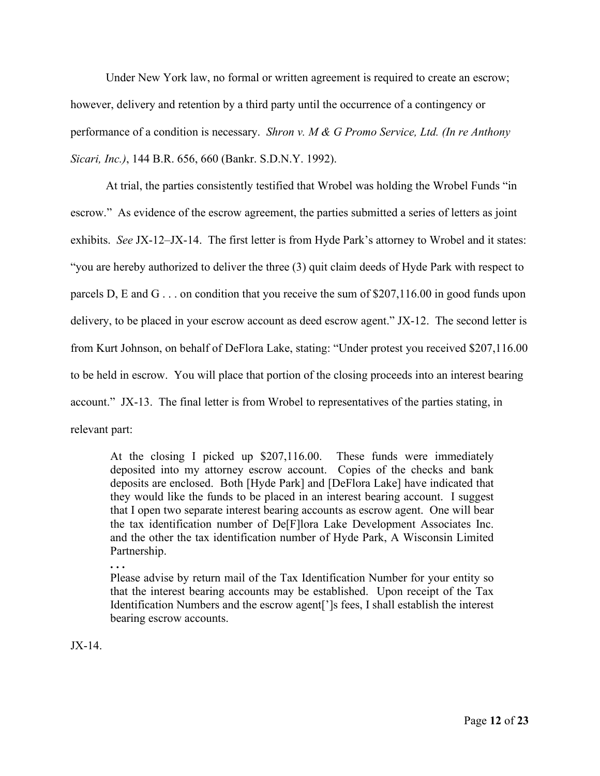Under New York law, no formal or written agreement is required to create an escrow; however, delivery and retention by a third party until the occurrence of a contingency or performance of a condition is necessary. *Shron v. M & G Promo Service, Ltd. (In re Anthony Sicari, Inc.)*, 144 B.R. 656, 660 (Bankr. S.D.N.Y. 1992).

At trial, the parties consistently testified that Wrobel was holding the Wrobel Funds "in escrow." As evidence of the escrow agreement, the parties submitted a series of letters as joint exhibits. *See* JX-12–JX-14. The first letter is from Hyde Park's attorney to Wrobel and it states: "you are hereby authorized to deliver the three (3) quit claim deeds of Hyde Park with respect to parcels D, E and G . . . on condition that you receive the sum of \$207,116.00 in good funds upon delivery, to be placed in your escrow account as deed escrow agent." JX-12. The second letter is from Kurt Johnson, on behalf of DeFlora Lake, stating: "Under protest you received \$207,116.00 to be held in escrow. You will place that portion of the closing proceeds into an interest bearing account." JX-13. The final letter is from Wrobel to representatives of the parties stating, in relevant part:

At the closing I picked up \$207,116.00. These funds were immediately deposited into my attorney escrow account. Copies of the checks and bank deposits are enclosed. Both [Hyde Park] and [DeFlora Lake] have indicated that they would like the funds to be placed in an interest bearing account. I suggest that I open two separate interest bearing accounts as escrow agent. One will bear the tax identification number of De[F]lora Lake Development Associates Inc. and the other the tax identification number of Hyde Park, A Wisconsin Limited Partnership.

**. . .** 

Please advise by return mail of the Tax Identification Number for your entity so that the interest bearing accounts may be established. Upon receipt of the Tax Identification Numbers and the escrow agent[']s fees, I shall establish the interest bearing escrow accounts.

JX-14.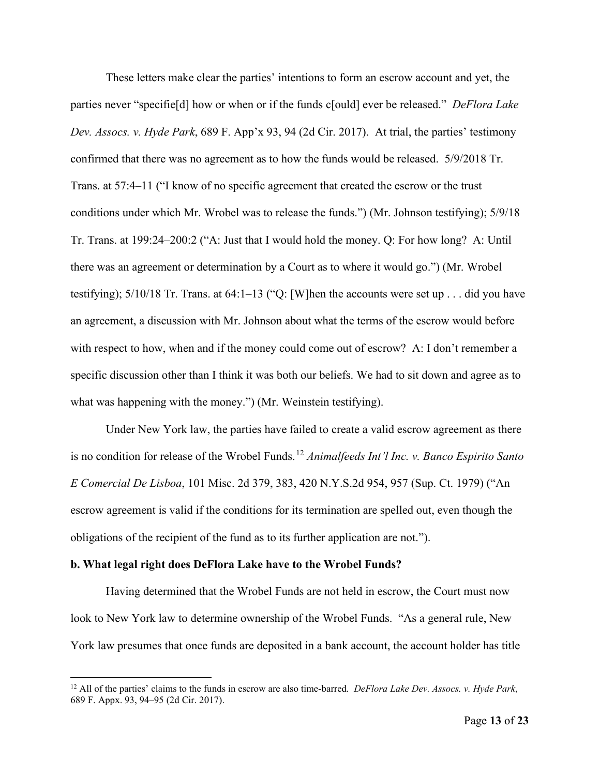These letters make clear the parties' intentions to form an escrow account and yet, the parties never "specifie[d] how or when or if the funds c[ould] ever be released." *DeFlora Lake Dev. Assocs. v. Hyde Park*, 689 F. App'x 93, 94 (2d Cir. 2017). At trial, the parties' testimony confirmed that there was no agreement as to how the funds would be released. 5/9/2018 Tr. Trans. at 57:4–11 ("I know of no specific agreement that created the escrow or the trust conditions under which Mr. Wrobel was to release the funds.") (Mr. Johnson testifying); 5/9/18 Tr. Trans. at 199:24–200:2 ("A: Just that I would hold the money. Q: For how long? A: Until there was an agreement or determination by a Court as to where it would go.") (Mr. Wrobel testifying); 5/10/18 Tr. Trans. at 64:1–13 ("Q: [W]hen the accounts were set up . . . did you have an agreement, a discussion with Mr. Johnson about what the terms of the escrow would before with respect to how, when and if the money could come out of escrow? A: I don't remember a specific discussion other than I think it was both our beliefs. We had to sit down and agree as to what was happening with the money.") (Mr. Weinstein testifying).

Under New York law, the parties have failed to create a valid escrow agreement as there is no condition for release of the Wrobel Funds. [12](#page-12-0) *Animalfeeds Int'l Inc. v. Banco Espirito Santo E Comercial De Lisboa*, 101 Misc. 2d 379, 383, 420 N.Y.S.2d 954, 957 (Sup. Ct. 1979) ("An escrow agreement is valid if the conditions for its termination are spelled out, even though the obligations of the recipient of the fund as to its further application are not.").

#### **b. What legal right does DeFlora Lake have to the Wrobel Funds?**

Having determined that the Wrobel Funds are not held in escrow, the Court must now look to New York law to determine ownership of the Wrobel Funds. "As a general rule, New York law presumes that once funds are deposited in a bank account, the account holder has title

<span id="page-12-0"></span><sup>12</sup> All of the parties' claims to the funds in escrow are also time-barred. *DeFlora Lake Dev. Assocs. v. Hyde Park*, 689 F. Appx. 93, 94–95 (2d Cir. 2017).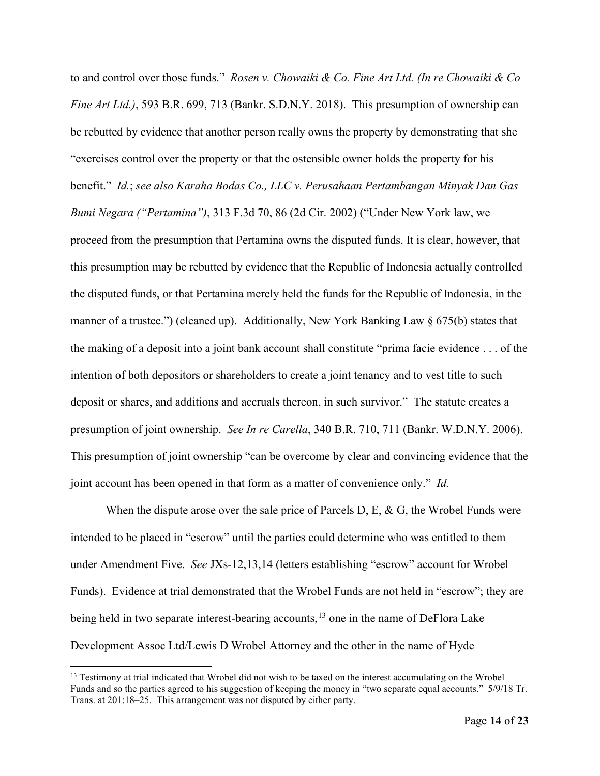to and control over those funds." *Rosen v. Chowaiki & Co. Fine Art Ltd. (In re Chowaiki & Co Fine Art Ltd.*), 593 B.R. 699, 713 (Bankr. S.D.N.Y. 2018). This presumption of ownership can be rebutted by evidence that another person really owns the property by demonstrating that she "exercises control over the property or that the ostensible owner holds the property for his benefit." *Id.*; *see also Karaha Bodas Co., LLC v. Perusahaan Pertambangan Minyak Dan Gas Bumi Negara ("Pertamina")*, 313 F.3d 70, 86 (2d Cir. 2002) ("Under New York law, we proceed from the presumption that Pertamina owns the disputed funds. It is clear, however, that this presumption may be rebutted by evidence that the Republic of Indonesia actually controlled the disputed funds, or that Pertamina merely held the funds for the Republic of Indonesia, in the manner of a trustee.") (cleaned up). Additionally, New York Banking Law § 675(b) states that the making of a deposit into a joint bank account shall constitute "prima facie evidence . . . of the intention of both depositors or shareholders to create a joint tenancy and to vest title to such deposit or shares, and additions and accruals thereon, in such survivor." The statute creates a presumption of joint ownership. *See In re Carella*, 340 B.R. 710, 711 (Bankr. W.D.N.Y. 2006). This presumption of joint ownership "can be overcome by clear and convincing evidence that the joint account has been opened in that form as a matter of convenience only." *Id.*

When the dispute arose over the sale price of Parcels D, E, & G, the Wrobel Funds were intended to be placed in "escrow" until the parties could determine who was entitled to them under Amendment Five. *See* JXs-12,13,14 (letters establishing "escrow" account for Wrobel Funds). Evidence at trial demonstrated that the Wrobel Funds are not held in "escrow"; they are being held in two separate interest-bearing accounts,<sup>[13](#page-13-0)</sup> one in the name of DeFlora Lake Development Assoc Ltd/Lewis D Wrobel Attorney and the other in the name of Hyde

<span id="page-13-0"></span><sup>&</sup>lt;sup>13</sup> Testimony at trial indicated that Wrobel did not wish to be taxed on the interest accumulating on the Wrobel Funds and so the parties agreed to his suggestion of keeping the money in "two separate equal accounts." 5/9/18 Tr. Trans. at 201:18–25. This arrangement was not disputed by either party.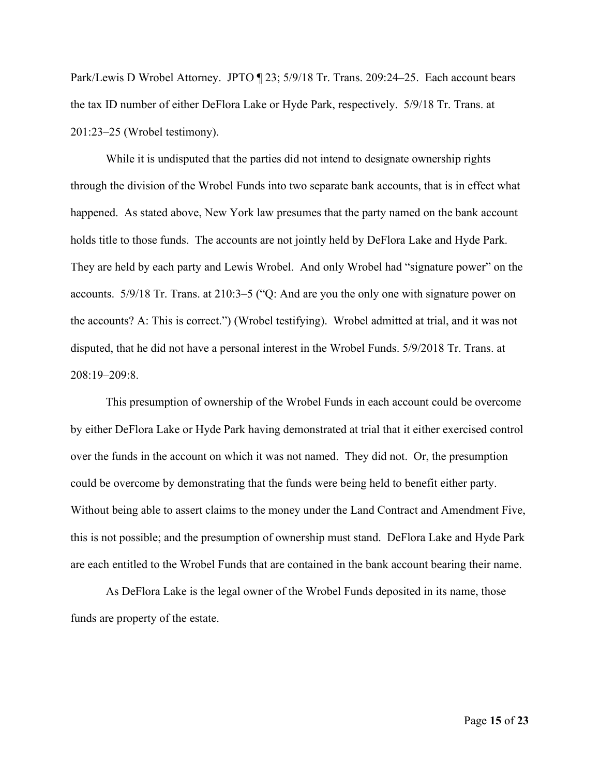Park/Lewis D Wrobel Attorney. JPTO ¶ 23; 5/9/18 Tr. Trans. 209:24–25. Each account bears the tax ID number of either DeFlora Lake or Hyde Park, respectively. 5/9/18 Tr. Trans. at 201:23–25 (Wrobel testimony).

While it is undisputed that the parties did not intend to designate ownership rights through the division of the Wrobel Funds into two separate bank accounts, that is in effect what happened. As stated above, New York law presumes that the party named on the bank account holds title to those funds. The accounts are not jointly held by DeFlora Lake and Hyde Park. They are held by each party and Lewis Wrobel. And only Wrobel had "signature power" on the accounts. 5/9/18 Tr. Trans. at 210:3–5 ("Q: And are you the only one with signature power on the accounts? A: This is correct.") (Wrobel testifying). Wrobel admitted at trial, and it was not disputed, that he did not have a personal interest in the Wrobel Funds. 5/9/2018 Tr. Trans. at 208:19–209:8.

This presumption of ownership of the Wrobel Funds in each account could be overcome by either DeFlora Lake or Hyde Park having demonstrated at trial that it either exercised control over the funds in the account on which it was not named. They did not. Or, the presumption could be overcome by demonstrating that the funds were being held to benefit either party. Without being able to assert claims to the money under the Land Contract and Amendment Five, this is not possible; and the presumption of ownership must stand. DeFlora Lake and Hyde Park are each entitled to the Wrobel Funds that are contained in the bank account bearing their name.

As DeFlora Lake is the legal owner of the Wrobel Funds deposited in its name, those funds are property of the estate.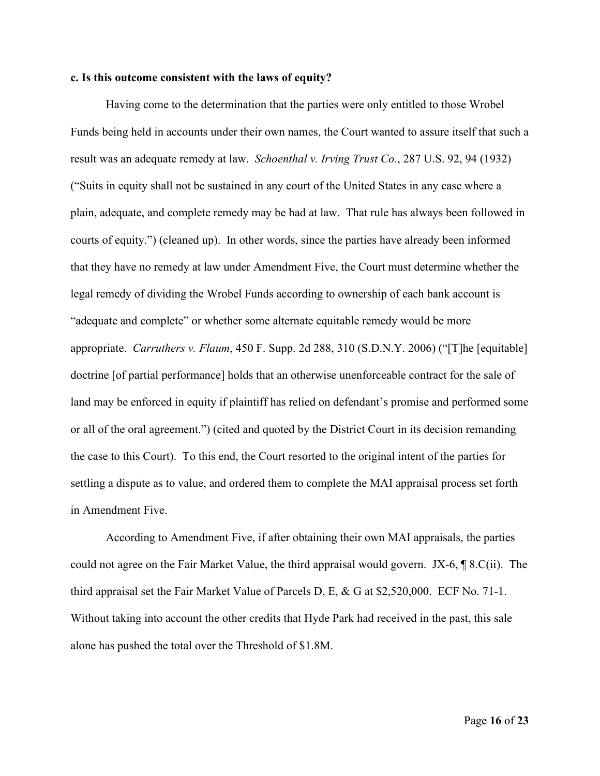### **c. Is this outcome consistent with the laws of equity?**

Having come to the determination that the parties were only entitled to those Wrobel Funds being held in accounts under their own names, the Court wanted to assure itself that such a result was an adequate remedy at law. *Schoenthal v. Irving Trust Co.*, 287 U.S. 92, 94 (1932) ("Suits in equity shall not be sustained in any court of the United States in any case where a plain, adequate, and complete remedy may be had at law. That rule has always been followed in courts of equity.") (cleaned up). In other words, since the parties have already been informed that they have no remedy at law under Amendment Five, the Court must determine whether the legal remedy of dividing the Wrobel Funds according to ownership of each bank account is "adequate and complete" or whether some alternate equitable remedy would be more appropriate. *Carruthers v. Flaum*, 450 F. Supp. 2d 288, 310 (S.D.N.Y. 2006) ("[T]he [equitable] doctrine [of partial performance] holds that an otherwise unenforceable contract for the sale of land may be enforced in equity if plaintiff has relied on defendant's promise and performed some or all of the oral agreement.") (cited and quoted by the District Court in its decision remanding the case to this Court). To this end, the Court resorted to the original intent of the parties for settling a dispute as to value, and ordered them to complete the MAI appraisal process set forth in Amendment Five.

According to Amendment Five, if after obtaining their own MAI appraisals, the parties could not agree on the Fair Market Value, the third appraisal would govern. JX-6, ¶ 8.C(ii). The third appraisal set the Fair Market Value of Parcels D, E, & G at \$2,520,000. ECF No. 71-1. Without taking into account the other credits that Hyde Park had received in the past, this sale alone has pushed the total over the Threshold of \$1.8M.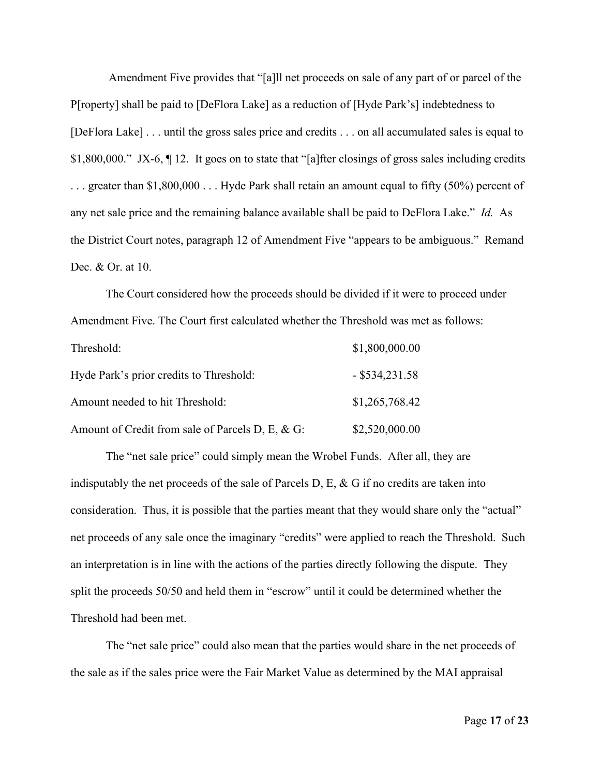Amendment Five provides that "[a]ll net proceeds on sale of any part of or parcel of the P[roperty] shall be paid to [DeFlora Lake] as a reduction of [Hyde Park's] indebtedness to [DeFlora Lake] . . . until the gross sales price and credits . . . on all accumulated sales is equal to \$1,800,000." JX-6,  $\P$  12. It goes on to state that "[a]fter closings of gross sales including credits . . . greater than \$1,800,000 . . . Hyde Park shall retain an amount equal to fifty (50%) percent of any net sale price and the remaining balance available shall be paid to DeFlora Lake." *Id.* As the District Court notes, paragraph 12 of Amendment Five "appears to be ambiguous." Remand Dec. & Or. at 10.

The Court considered how the proceeds should be divided if it were to proceed under Amendment Five. The Court first calculated whether the Threshold was met as follows: Threshold: \$1,800,000.00 Hyde Park's prior credits to Threshold: - \$534,231.58 Amount needed to hit Threshold:  $$1,265,768.42$ 

Amount of Credit from sale of Parcels D, E, & G: \$2,520,000.00

The "net sale price" could simply mean the Wrobel Funds. After all, they are indisputably the net proceeds of the sale of Parcels D, E,  $\&$  G if no credits are taken into consideration. Thus, it is possible that the parties meant that they would share only the "actual" net proceeds of any sale once the imaginary "credits" were applied to reach the Threshold. Such an interpretation is in line with the actions of the parties directly following the dispute. They split the proceeds 50/50 and held them in "escrow" until it could be determined whether the Threshold had been met.

The "net sale price" could also mean that the parties would share in the net proceeds of the sale as if the sales price were the Fair Market Value as determined by the MAI appraisal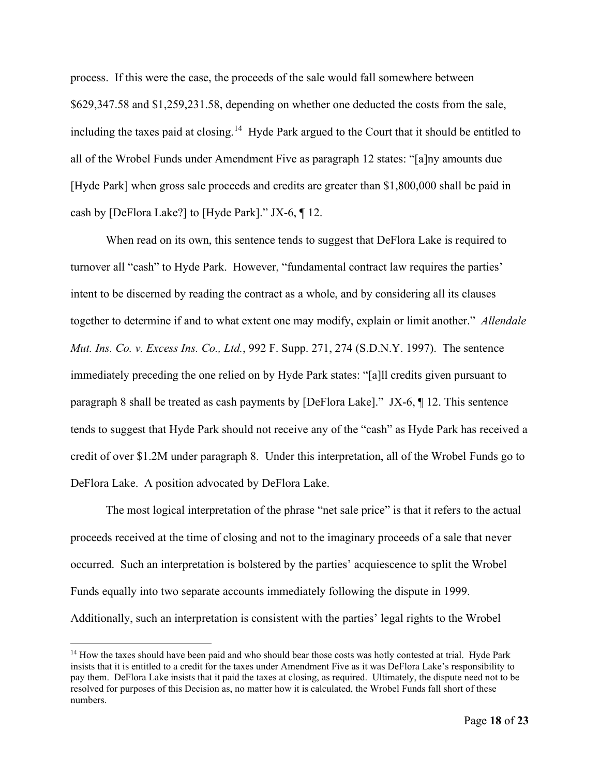process. If this were the case, the proceeds of the sale would fall somewhere between \$629,347.58 and \$1,259,231.58, depending on whether one deducted the costs from the sale, including the taxes paid at closing.<sup>[14](#page-17-0)</sup> Hyde Park argued to the Court that it should be entitled to all of the Wrobel Funds under Amendment Five as paragraph 12 states: "[a]ny amounts due [Hyde Park] when gross sale proceeds and credits are greater than \$1,800,000 shall be paid in cash by [DeFlora Lake?] to [Hyde Park]." JX-6, ¶ 12.

When read on its own, this sentence tends to suggest that DeFlora Lake is required to turnover all "cash" to Hyde Park. However, "fundamental contract law requires the parties' intent to be discerned by reading the contract as a whole, and by considering all its clauses together to determine if and to what extent one may modify, explain or limit another." *Allendale Mut. Ins. Co. v. Excess Ins. Co., Ltd.*, 992 F. Supp. 271, 274 (S.D.N.Y. 1997). The sentence immediately preceding the one relied on by Hyde Park states: "[a]ll credits given pursuant to paragraph 8 shall be treated as cash payments by [DeFlora Lake]." JX-6, ¶ 12. This sentence tends to suggest that Hyde Park should not receive any of the "cash" as Hyde Park has received a credit of over \$1.2M under paragraph 8. Under this interpretation, all of the Wrobel Funds go to DeFlora Lake. A position advocated by DeFlora Lake.

The most logical interpretation of the phrase "net sale price" is that it refers to the actual proceeds received at the time of closing and not to the imaginary proceeds of a sale that never occurred. Such an interpretation is bolstered by the parties' acquiescence to split the Wrobel Funds equally into two separate accounts immediately following the dispute in 1999. Additionally, such an interpretation is consistent with the parties' legal rights to the Wrobel

<span id="page-17-0"></span><sup>&</sup>lt;sup>14</sup> How the taxes should have been paid and who should bear those costs was hotly contested at trial. Hyde Park insists that it is entitled to a credit for the taxes under Amendment Five as it was DeFlora Lake's responsibility to pay them. DeFlora Lake insists that it paid the taxes at closing, as required. Ultimately, the dispute need not to be resolved for purposes of this Decision as, no matter how it is calculated, the Wrobel Funds fall short of these numbers.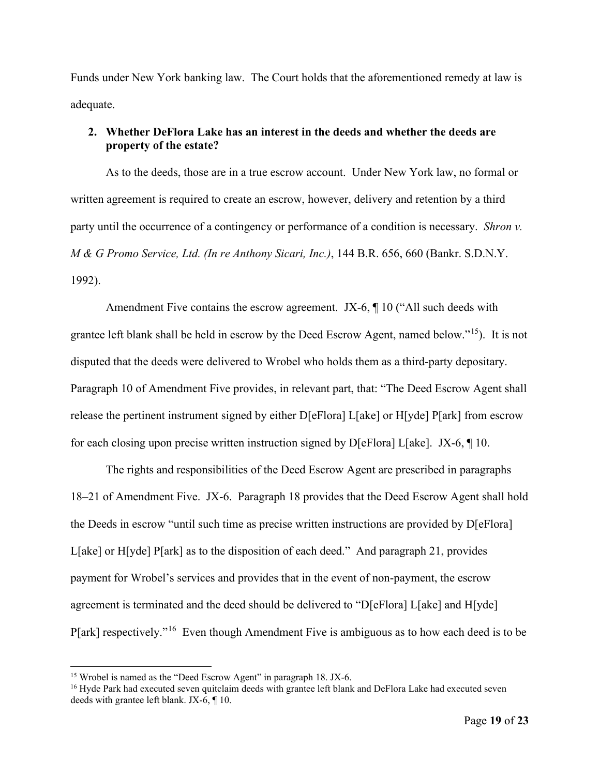Funds under New York banking law. The Court holds that the aforementioned remedy at law is adequate.

# **2. Whether DeFlora Lake has an interest in the deeds and whether the deeds are property of the estate?**

As to the deeds, those are in a true escrow account. Under New York law, no formal or written agreement is required to create an escrow, however, delivery and retention by a third party until the occurrence of a contingency or performance of a condition is necessary. *Shron v. M & G Promo Service, Ltd. (In re Anthony Sicari, Inc.)*, 144 B.R. 656, 660 (Bankr. S.D.N.Y. 1992).

Amendment Five contains the escrow agreement. JX-6, ¶ 10 ("All such deeds with grantee left blank shall be held in escrow by the Deed Escrow Agent, named below."[15\)](#page-18-0). It is not disputed that the deeds were delivered to Wrobel who holds them as a third-party depositary. Paragraph 10 of Amendment Five provides, in relevant part, that: "The Deed Escrow Agent shall release the pertinent instrument signed by either D[eFlora] L[ake] or H[yde] P[ark] from escrow for each closing upon precise written instruction signed by D[eFlora] L[ake]. JX-6, ¶ 10.

The rights and responsibilities of the Deed Escrow Agent are prescribed in paragraphs 18–21 of Amendment Five. JX-6. Paragraph 18 provides that the Deed Escrow Agent shall hold the Deeds in escrow "until such time as precise written instructions are provided by D[eFlora] L[ake] or H[yde] P[ark] as to the disposition of each deed." And paragraph 21, provides payment for Wrobel's services and provides that in the event of non-payment, the escrow agreement is terminated and the deed should be delivered to "D[eFlora] L[ake] and H[yde] P[ark] respectively."[16](#page-18-1) Even though Amendment Five is ambiguous as to how each deed is to be

<span id="page-18-0"></span><sup>&</sup>lt;sup>15</sup> Wrobel is named as the "Deed Escrow Agent" in paragraph 18. JX-6.

<span id="page-18-1"></span><sup>&</sup>lt;sup>16</sup> Hyde Park had executed seven quitclaim deeds with grantee left blank and DeFlora Lake had executed seven deeds with grantee left blank. JX-6, ¶ 10.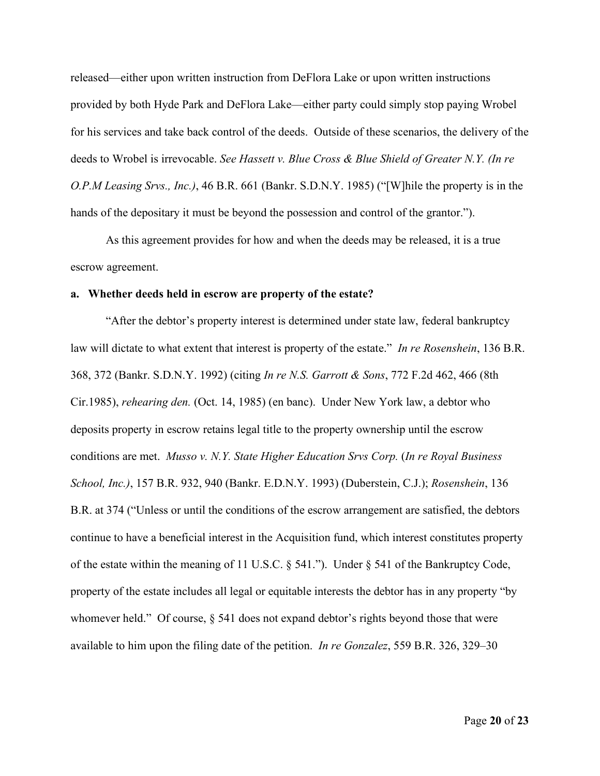released—either upon written instruction from DeFlora Lake or upon written instructions provided by both Hyde Park and DeFlora Lake—either party could simply stop paying Wrobel for his services and take back control of the deeds. Outside of these scenarios, the delivery of the deeds to Wrobel is irrevocable. *See Hassett v. Blue Cross & Blue Shield of Greater N.Y. (In re O.P.M Leasing Srvs., Inc.)*, 46 B.R. 661 (Bankr. S.D.N.Y. 1985) ("[W]hile the property is in the hands of the depositary it must be beyond the possession and control of the grantor.").

As this agreement provides for how and when the deeds may be released, it is a true escrow agreement.

#### **a. Whether deeds held in escrow are property of the estate?**

"After the debtor's property interest is determined under state law, federal bankruptcy law will dictate to what extent that interest is property of the estate." *In re Rosenshein*, 136 B.R. 368, 372 (Bankr. S.D.N.Y. 1992) (citing *In re N.S. Garrott & Sons*, 772 F.2d 462, 466 (8th Cir.1985), *rehearing den.* (Oct. 14, 1985) (en banc). Under New York law, a debtor who deposits property in escrow retains legal title to the property ownership until the escrow conditions are met. *Musso v. N.Y. State Higher Education Srvs Corp.* (*In re Royal Business School, Inc.)*, 157 B.R. 932, 940 (Bankr. E.D.N.Y. 1993) (Duberstein, C.J.); *Rosenshein*, 136 B.R. at 374 ("Unless or until the conditions of the escrow arrangement are satisfied, the debtors continue to have a beneficial interest in the Acquisition fund, which interest constitutes property of the estate within the meaning of 11 U.S.C. § 541."). Under § 541 of the Bankruptcy Code, property of the estate includes all legal or equitable interests the debtor has in any property "by whomever held." Of course,  $\S$  541 does not expand debtor's rights beyond those that were available to him upon the filing date of the petition. *In re Gonzalez*, 559 B.R. 326, 329–30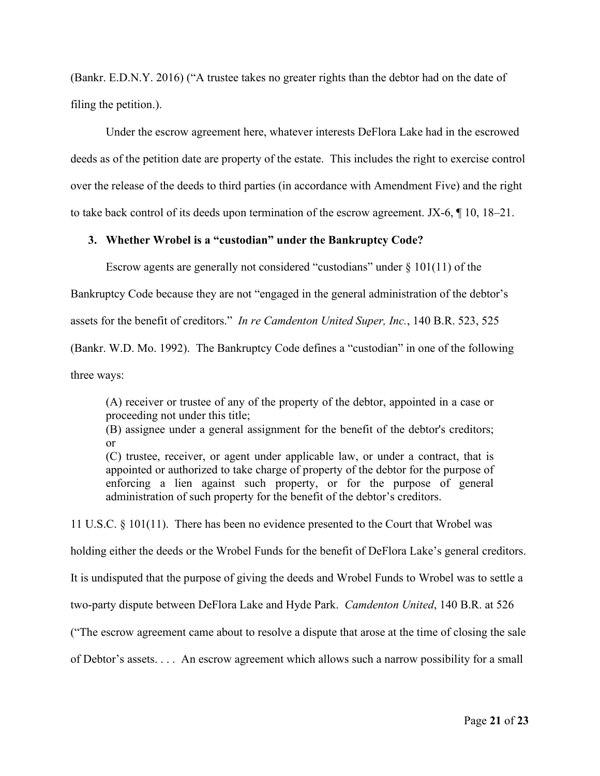(Bankr. E.D.N.Y. 2016) ("A trustee takes no greater rights than the debtor had on the date of filing the petition.).

Under the escrow agreement here, whatever interests DeFlora Lake had in the escrowed deeds as of the petition date are property of the estate. This includes the right to exercise control over the release of the deeds to third parties (in accordance with Amendment Five) and the right to take back control of its deeds upon termination of the escrow agreement. JX-6, ¶ 10, 18–21.

### **3. Whether Wrobel is a "custodian" under the Bankruptcy Code?**

Escrow agents are generally not considered "custodians" under  $\S 101(11)$  of the

Bankruptcy Code because they are not "engaged in the general administration of the debtor's

assets for the benefit of creditors." *In re Camdenton United Super, Inc.*, 140 B.R. 523, 525

(Bankr. W.D. Mo. 1992). The Bankruptcy Code defines a "custodian" in one of the following

three ways:

(A) receiver or trustee of any of the property of the debtor, appointed in a case or proceeding not under this title;

(B) assignee under a general assignment for the benefit of the debtor's creditors; or

(C) trustee, receiver, or agent under applicable law, or under a contract, that is appointed or authorized to take charge of property of the debtor for the purpose of enforcing a lien against such property, or for the purpose of general administration of such property for the benefit of the debtor's creditors.

11 U.S.C. § 101(11). There has been no evidence presented to the Court that Wrobel was

holding either the deeds or the Wrobel Funds for the benefit of DeFlora Lake's general creditors.

It is undisputed that the purpose of giving the deeds and Wrobel Funds to Wrobel was to settle a

two-party dispute between DeFlora Lake and Hyde Park. *Camdenton United*, 140 B.R. at 526

("The escrow agreement came about to resolve a dispute that arose at the time of closing the sale

of Debtor's assets. . . . An escrow agreement which allows such a narrow possibility for a small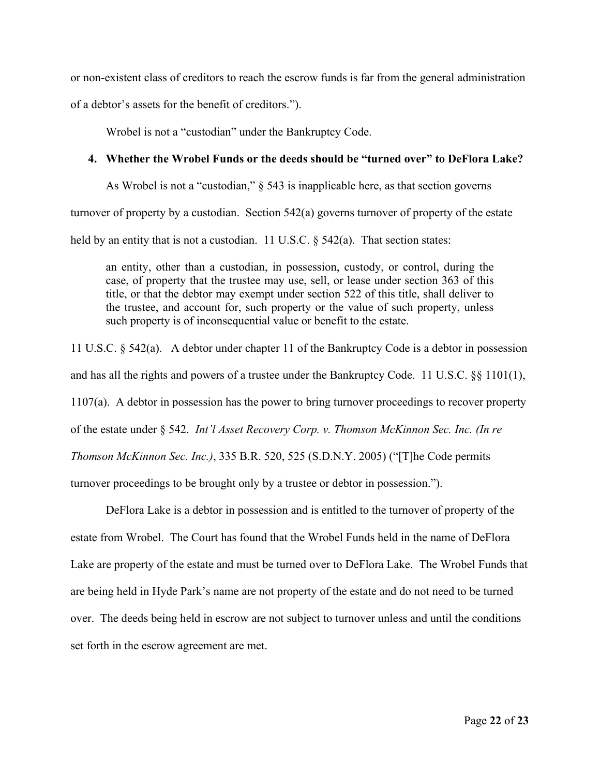or non-existent class of creditors to reach the escrow funds is far from the general administration of a debtor's assets for the benefit of creditors.").

Wrobel is not a "custodian" under the Bankruptcy Code.

### **4. Whether the Wrobel Funds or the deeds should be "turned over" to DeFlora Lake?**

As Wrobel is not a "custodian," § 543 is inapplicable here, as that section governs turnover of property by a custodian. Section 542(a) governs turnover of property of the estate held by an entity that is not a custodian. 11 U.S.C.  $\S$  542(a). That section states:

an entity, other than a custodian, in possession, custody, or control, during the case, of property that the trustee may use, sell, or lease under section 363 of this title, or that the debtor may exempt under section 522 of this title, shall deliver to the trustee, and account for, such property or the value of such property, unless such property is of inconsequential value or benefit to the estate.

11 U.S.C. § 542(a). A debtor under chapter 11 of the Bankruptcy Code is a debtor in possession and has all the rights and powers of a trustee under the Bankruptcy Code. 11 U.S.C. §§ 1101(1), 1107(a). A debtor in possession has the power to bring turnover proceedings to recover property of the estate under § 542. *Int'l Asset Recovery Corp. v. Thomson McKinnon Sec. Inc. (In re Thomson McKinnon Sec. Inc.)*, 335 B.R. 520, 525 (S.D.N.Y. 2005) ("[T]he Code permits turnover proceedings to be brought only by a trustee or debtor in possession.").

DeFlora Lake is a debtor in possession and is entitled to the turnover of property of the estate from Wrobel. The Court has found that the Wrobel Funds held in the name of DeFlora Lake are property of the estate and must be turned over to DeFlora Lake. The Wrobel Funds that are being held in Hyde Park's name are not property of the estate and do not need to be turned over. The deeds being held in escrow are not subject to turnover unless and until the conditions set forth in the escrow agreement are met.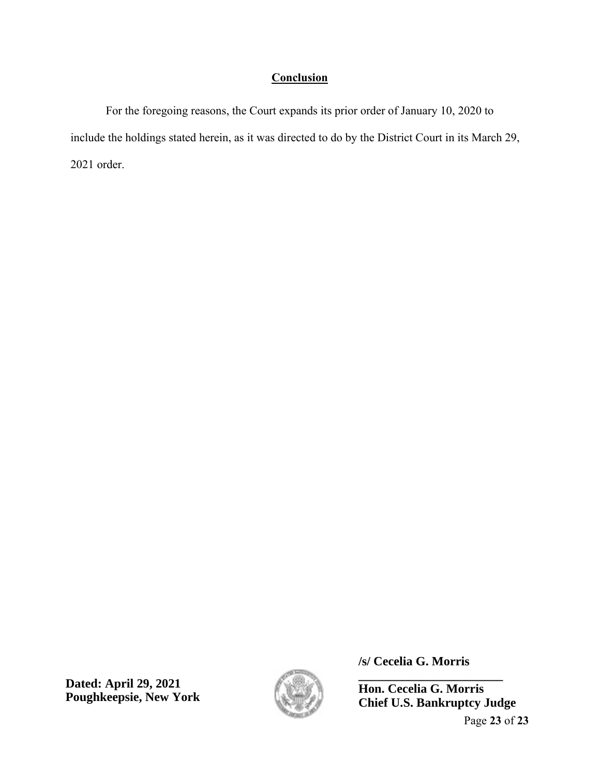# **Conclusion**

For the foregoing reasons, the Court expands its prior order of January 10, 2020 to include the holdings stated herein, as it was directed to do by the District Court in its March 29, 2021 order.

**Dated: April 29, 2021 Poughkeepsie, New York**



**/s/ Cecelia G. Morris**

**Hon. Cecelia G. Morris Chief U.S. Bankruptcy Judge**

**\_\_\_\_\_\_\_\_\_\_\_\_\_\_\_\_\_\_\_\_\_\_\_**

Page **23** of **23**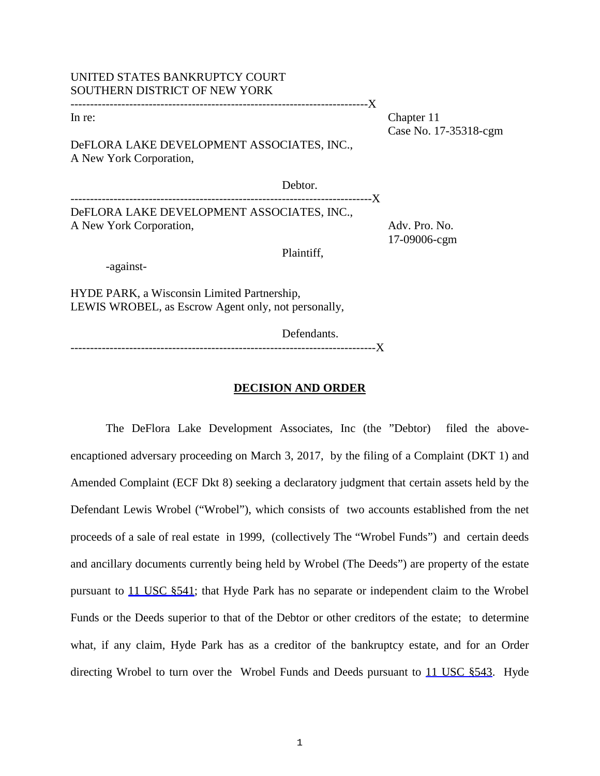# UNITED STATES BANKRUPTCY COURT SOUTHERN DISTRICT OF NEW YORK

----------------------------------------------------------------------------X

In re: Chapter 11 Case No. 17-35318-cgm

DeFLORA LAKE DEVELOPMENT ASSOCIATES, INC., A New York Corporation,

Debtor. -------------X DeFLORA LAKE DEVELOPMENT ASSOCIATES, INC., A New York Corporation,  $\qquad \qquad$  Adv. Pro. No.

17-09006-cgm

Plaintiff,

-against-

HYDE PARK, a Wisconsin Limited Partnership, LEWIS WROBEL, as Escrow Agent only, not personally,

Defendants.

------------------------------------------------------------------------------X

# **DECISION AND ORDER**

The DeFlora Lake Development Associates, Inc (the "Debtor) filed the aboveencaptioned adversary proceeding on March 3, 2017, by the filing of a Complaint (DKT 1) and Amended Complaint (ECF Dkt 8) seeking a declaratory judgment that certain assets held by the Defendant Lewis Wrobel ("Wrobel"), which consists of two accounts established from the net proceeds of a sale of real estate in 1999, (collectively The "Wrobel Funds") and certain deeds and ancillary documents currently being held by Wrobel (The Deeds") are property of the estate pursuant to 11 USC §541; that Hyde Park has no separate or independent claim to the Wrobel Funds or the Deeds superior to that of the Debtor or other creditors of the estate; to determine what, if any claim, Hyde Park has as a creditor of the bankruptcy estate, and for an Order directing Wrobel to turn over the Wrobel Funds and Deeds pursuant to 11 USC §543. Hyde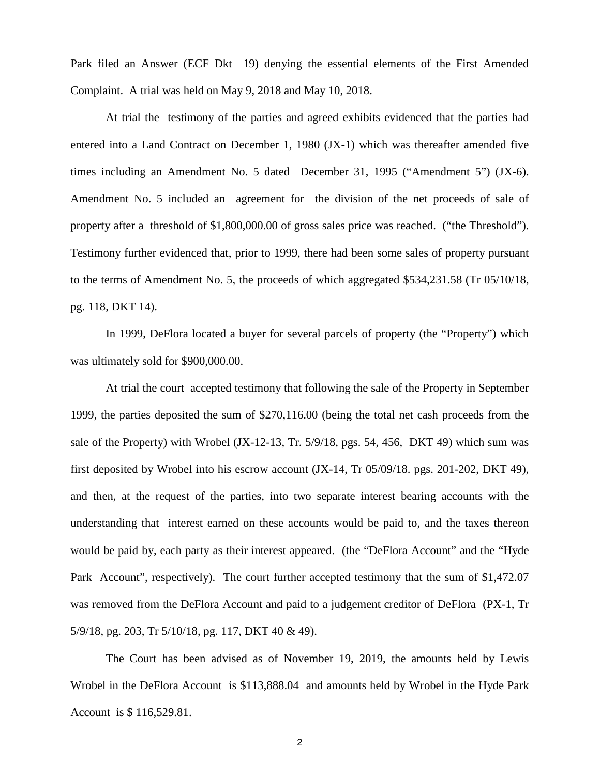Park filed an Answer (ECF Dkt 19) denying the essential elements of the First Amended Complaint. A trial was held on May 9, 2018 and May 10, 2018.

At trial the testimony of the parties and agreed exhibits evidenced that the parties had entered into a Land Contract on December 1, 1980 (JX-1) which was thereafter amended five times including an Amendment No. 5 dated December 31, 1995 ("Amendment 5") (JX-6). Amendment No. 5 included an agreement for the division of the net proceeds of sale of property after a threshold of \$1,800,000.00 of gross sales price was reached. ("the Threshold"). Testimony further evidenced that, prior to 1999, there had been some sales of property pursuant to the terms of Amendment No. 5, the proceeds of which aggregated \$534,231.58 (Tr 05/10/18, pg. 118, DKT 14).

In 1999, DeFlora located a buyer for several parcels of property (the "Property") which was ultimately sold for \$900,000.00.

At trial the court accepted testimony that following the sale of the Property in September 1999, the parties deposited the sum of \$270,116.00 (being the total net cash proceeds from the sale of the Property) with Wrobel (JX-12-13, Tr. 5/9/18, pgs. 54, 456, DKT 49) which sum was first deposited by Wrobel into his escrow account (JX-14, Tr 05/09/18. pgs. 201-202, DKT 49), and then, at the request of the parties, into two separate interest bearing accounts with the understanding that interest earned on these accounts would be paid to, and the taxes thereon would be paid by, each party as their interest appeared. (the "DeFlora Account" and the "Hyde Park Account", respectively). The court further accepted testimony that the sum of \$1,472.07 was removed from the DeFlora Account and paid to a judgement creditor of DeFlora (PX-1, Tr 5/9/18, pg. 203, Tr 5/10/18, pg. 117, DKT 40 & 49).

The Court has been advised as of November 19, 2019, the amounts held by Lewis Wrobel in the DeFlora Account is \$113,888.04 and amounts held by Wrobel in the Hyde Park Account is \$ 116,529.81.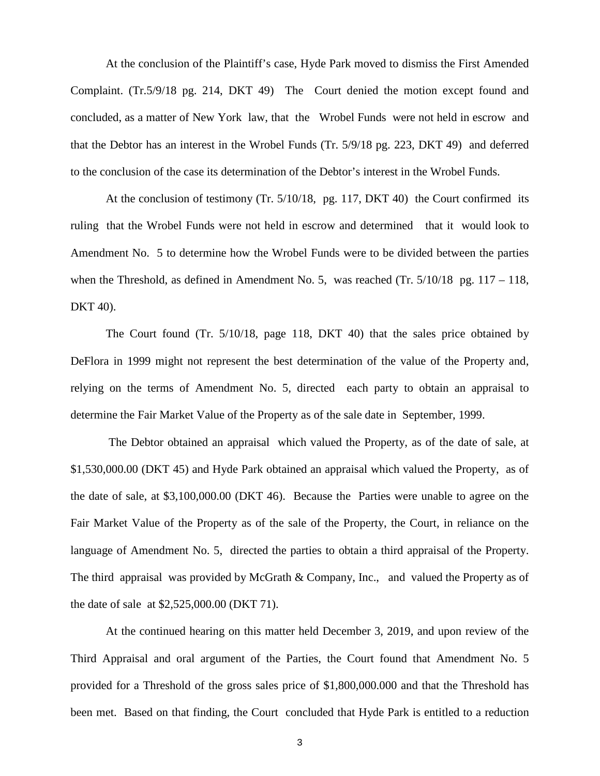At the conclusion of the Plaintiff's case, Hyde Park moved to dismiss the First Amended Complaint. (Tr.5/9/18 pg. 214, DKT 49) The Court denied the motion except found and concluded, as a matter of New York law, that the Wrobel Funds were not held in escrow and that the Debtor has an interest in the Wrobel Funds (Tr. 5/9/18 pg. 223, DKT 49) and deferred to the conclusion of the case its determination of the Debtor's interest in the Wrobel Funds.

At the conclusion of testimony (Tr. 5/10/18, pg. 117, DKT 40) the Court confirmed its ruling that the Wrobel Funds were not held in escrow and determined that it would look to Amendment No. 5 to determine how the Wrobel Funds were to be divided between the parties when the Threshold, as defined in Amendment No. 5, was reached (Tr. 5/10/18 pg. 117 – 118, DKT 40).

The Court found (Tr. 5/10/18, page 118, DKT 40) that the sales price obtained by DeFlora in 1999 might not represent the best determination of the value of the Property and, relying on the terms of Amendment No. 5, directed each party to obtain an appraisal to determine the Fair Market Value of the Property as of the sale date in September, 1999.

The Debtor obtained an appraisal which valued the Property, as of the date of sale, at \$1,530,000.00 (DKT 45) and Hyde Park obtained an appraisal which valued the Property, as of the date of sale, at \$3,100,000.00 (DKT 46). Because the Parties were unable to agree on the Fair Market Value of the Property as of the sale of the Property, the Court, in reliance on the language of Amendment No. 5, directed the parties to obtain a third appraisal of the Property. The third appraisal was provided by McGrath & Company, Inc., and valued the Property as of the date of sale at \$2,525,000.00 (DKT 71).

At the continued hearing on this matter held December 3, 2019, and upon review of the Third Appraisal and oral argument of the Parties, the Court found that Amendment No. 5 provided for a Threshold of the gross sales price of \$1,800,000.000 and that the Threshold has been met. Based on that finding, the Court concluded that Hyde Park is entitled to a reduction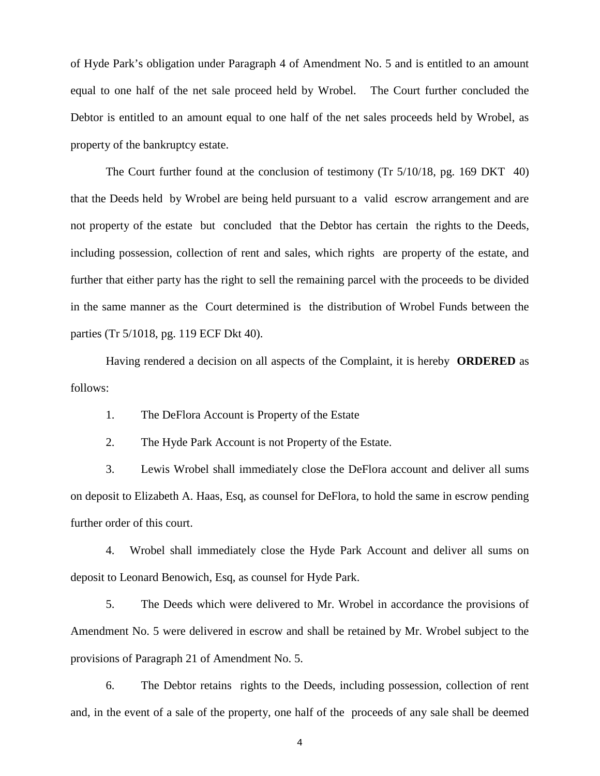of Hyde Park's obligation under Paragraph 4 of Amendment No. 5 and is entitled to an amount equal to one half of the net sale proceed held by Wrobel. The Court further concluded the Debtor is entitled to an amount equal to one half of the net sales proceeds held by Wrobel, as property of the bankruptcy estate.

The Court further found at the conclusion of testimony (Tr 5/10/18, pg. 169 DKT 40) that the Deeds held by Wrobel are being held pursuant to a valid escrow arrangement and are not property of the estate but concluded that the Debtor has certain the rights to the Deeds, including possession, collection of rent and sales, which rights are property of the estate, and further that either party has the right to sell the remaining parcel with the proceeds to be divided in the same manner as the Court determined is the distribution of Wrobel Funds between the parties (Tr 5/1018, pg. 119 ECF Dkt 40).

Having rendered a decision on all aspects of the Complaint, it is hereby **ORDERED** as follows:

1. The DeFlora Account is Property of the Estate

2. The Hyde Park Account is not Property of the Estate.

3. Lewis Wrobel shall immediately close the DeFlora account and deliver all sums on deposit to Elizabeth A. Haas, Esq, as counsel for DeFlora, to hold the same in escrow pending further order of this court.

4. Wrobel shall immediately close the Hyde Park Account and deliver all sums on deposit to Leonard Benowich, Esq, as counsel for Hyde Park.

5. The Deeds which were delivered to Mr. Wrobel in accordance the provisions of Amendment No. 5 were delivered in escrow and shall be retained by Mr. Wrobel subject to the provisions of Paragraph 21 of Amendment No. 5.

6. The Debtor retains rights to the Deeds, including possession, collection of rent and, in the event of a sale of the property, one half of the proceeds of any sale shall be deemed

4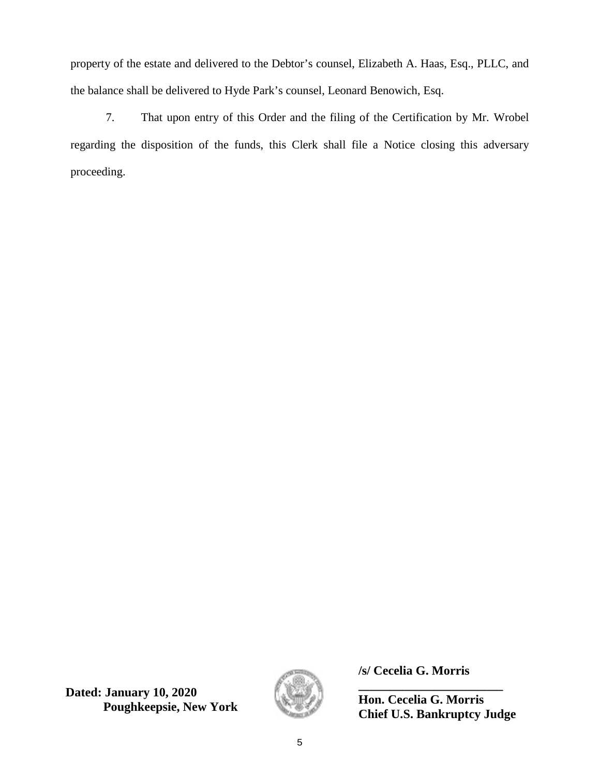property of the estate and delivered to the Debtor's counsel, Elizabeth A. Haas, Esq., PLLC, and the balance shall be delivered to Hyde Park's counsel, Leonard Benowich, Esq.

7. That upon entry of this Order and the filing of the Certification by Mr. Wrobel regarding the disposition of the funds, this Clerk shall file a Notice closing this adversary proceeding.

**Dated: January 10, 2020 Poughkeepsie, New York**



**/s/ Cecelia G. Morris**

**\_\_\_\_\_\_\_\_\_\_\_\_\_\_\_\_\_\_\_\_\_\_\_ Hon. Cecelia G. Morris Chief U.S. Bankruptcy Judge**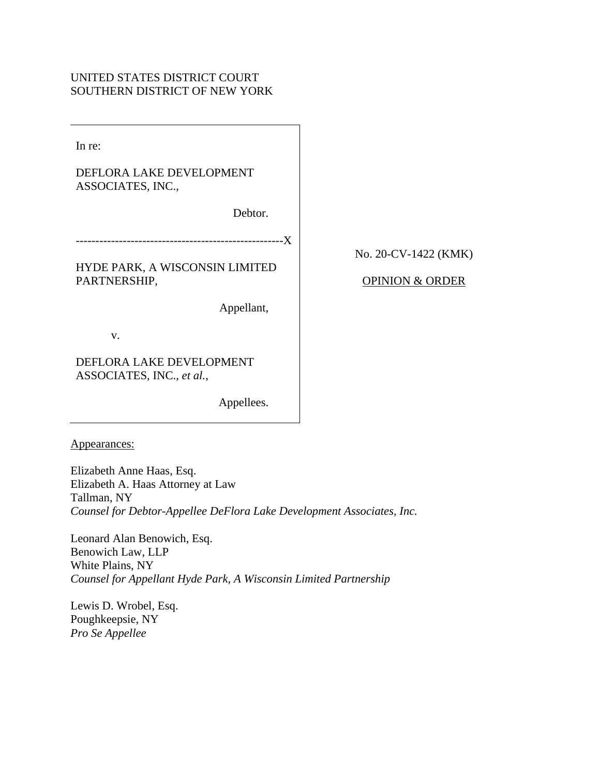## UNITED STATES DISTRICT COURT SOUTHERN DISTRICT OF NEW YORK

In re:

# DEFLORA LAKE DEVELOPMENT ASSOCIATES, INC.,

Debtor.

HYDE PARK, A WISCONSIN LIMITED PARTNERSHIP,

Appellant,

v.

DEFLORA LAKE DEVELOPMENT ASSOCIATES, INC., *et al.*,

Appellees.

Appearances:

Elizabeth Anne Haas, Esq. Elizabeth A. Haas Attorney at Law Tallman, NY *Counsel for Debtor-Appellee DeFlora Lake Development Associates, Inc.* 

Leonard Alan Benowich, Esq. Benowich Law, LLP White Plains, NY *Counsel for Appellant Hyde Park, A Wisconsin Limited Partnership* 

Lewis D. Wrobel, Esq. Poughkeepsie, NY *Pro Se Appellee* 

No. 20-CV-1422 (KMK)

## OPINION & ORDER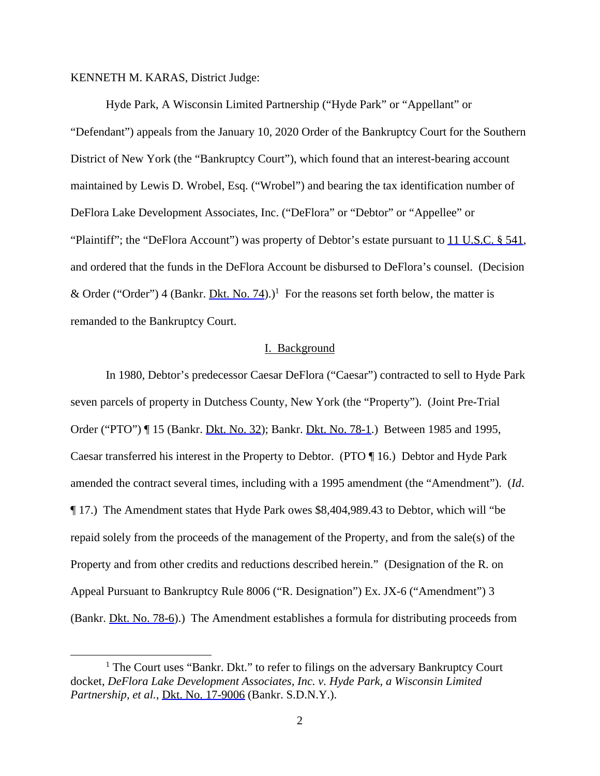### KENNETH M. KARAS, District Judge:

 Hyde Park, A Wisconsin Limited Partnership ("Hyde Park" or "Appellant" or "Defendant") appeals from the January 10, 2020 Order of the Bankruptcy Court for the Southern District of New York (the "Bankruptcy Court"), which found that an interest-bearing account maintained by Lewis D. Wrobel, Esq. ("Wrobel") and bearing the tax identification number of DeFlora Lake Development Associates, Inc. ("DeFlora" or "Debtor" or "Appellee" or "Plaintiff"; the "DeFlora Account") was property of Debtor's estate pursuant to 11 U.S.C.  $\S$  541, and ordered that the funds in the DeFlora Account be disbursed to DeFlora's counsel. (Decision & Order ("Order") 4 (Bankr. **Dkt. No. 74**).)<sup>1</sup> For the reasons set forth below, the matter is remanded to the Bankruptcy Court.

#### I. Background

 In 1980, Debtor's predecessor Caesar DeFlora ("Caesar") contracted to sell to Hyde Park seven parcels of property in Dutchess County, New York (the "Property"). (Joint Pre-Trial Order ("PTO") ¶ 15 (Bankr. Dkt. No. 32); Bankr. Dkt. No. 78-1.) Between 1985 and 1995, Caesar transferred his interest in the Property to Debtor. (PTO ¶ 16.) Debtor and Hyde Park amended the contract several times, including with a 1995 amendment (the "Amendment"). (*Id*. ¶ 17.) The Amendment states that Hyde Park owes \$8,404,989.43 to Debtor, which will "be repaid solely from the proceeds of the management of the Property, and from the sale(s) of the Property and from other credits and reductions described herein." (Designation of the R. on Appeal Pursuant to Bankruptcy Rule 8006 ("R. Designation") Ex. JX-6 ("Amendment") 3 (Bankr. Dkt. No. 78-6).) The Amendment establishes a formula for distributing proceeds from

<sup>&</sup>lt;sup>1</sup> The Court uses "Bankr. Dkt." to refer to filings on the adversary Bankruptcy Court docket, *DeFlora Lake Development Associates, Inc. v. Hyde Park, a Wisconsin Limited Partnership, et al.*, Dkt. No. 17-9006 (Bankr. S.D.N.Y.).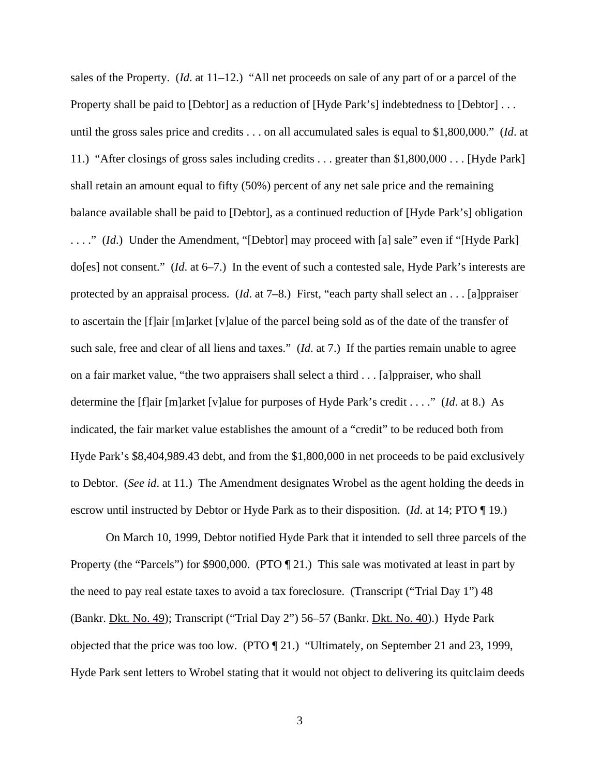sales of the Property. (*Id*. at 11–12.) "All net proceeds on sale of any part of or a parcel of the Property shall be paid to [Debtor] as a reduction of [Hyde Park's] indebtedness to [Debtor] ... until the gross sales price and credits . . . on all accumulated sales is equal to \$1,800,000." (*Id*. at 11.) "After closings of gross sales including credits . . . greater than \$1,800,000 . . . [Hyde Park] shall retain an amount equal to fifty (50%) percent of any net sale price and the remaining balance available shall be paid to [Debtor], as a continued reduction of [Hyde Park's] obligation

. . . ." (*Id*.) Under the Amendment, "[Debtor] may proceed with [a] sale" even if "[Hyde Park] do[es] not consent." (*Id*. at 6–7.) In the event of such a contested sale, Hyde Park's interests are protected by an appraisal process. (*Id*. at 7–8.) First, "each party shall select an . . . [a]ppraiser to ascertain the [f]air [m]arket [v]alue of the parcel being sold as of the date of the transfer of such sale, free and clear of all liens and taxes." (*Id*. at 7.) If the parties remain unable to agree on a fair market value, "the two appraisers shall select a third . . . [a]ppraiser, who shall determine the [f]air [m]arket [v]alue for purposes of Hyde Park's credit . . . ." (*Id*. at 8.) As indicated, the fair market value establishes the amount of a "credit" to be reduced both from Hyde Park's \$8,404,989.43 debt, and from the \$1,800,000 in net proceeds to be paid exclusively to Debtor. (*See id*. at 11.) The Amendment designates Wrobel as the agent holding the deeds in escrow until instructed by Debtor or Hyde Park as to their disposition. (*Id*. at 14; PTO ¶ 19.)

On March 10, 1999, Debtor notified Hyde Park that it intended to sell three parcels of the Property (the "Parcels") for \$900,000. (PTO [21.) This sale was motivated at least in part by the need to pay real estate taxes to avoid a tax foreclosure. (Transcript ("Trial Day 1") 48 (Bankr. Dkt. No. 49); Transcript ("Trial Day 2") 56–57 (Bankr. Dkt. No. 40).) Hyde Park objected that the price was too low. (PTO ¶ 21.) "Ultimately, on September 21 and 23, 1999, Hyde Park sent letters to Wrobel stating that it would not object to delivering its quitclaim deeds

3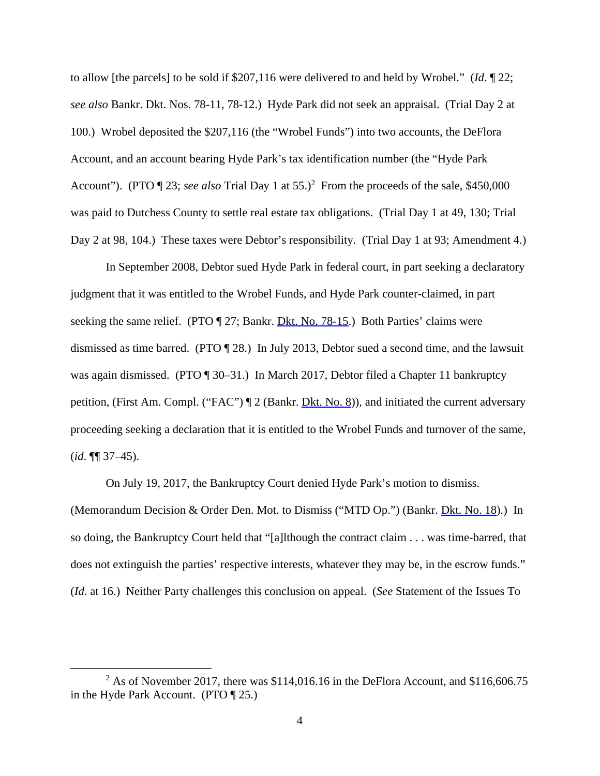to allow [the parcels] to be sold if \$207,116 were delivered to and held by Wrobel." (*Id*. ¶ 22; *see also* Bankr. Dkt. Nos. 78-11, 78-12.) Hyde Park did not seek an appraisal. (Trial Day 2 at 100.) Wrobel deposited the \$207,116 (the "Wrobel Funds") into two accounts, the DeFlora Account, and an account bearing Hyde Park's tax identification number (the "Hyde Park Account"). (PTO  $\llbracket 23$ ; *see also* Trial Day 1 at 55.)<sup>2</sup> From the proceeds of the sale, \$450,000 was paid to Dutchess County to settle real estate tax obligations. (Trial Day 1 at 49, 130; Trial Day 2 at 98, 104.) These taxes were Debtor's responsibility. (Trial Day 1 at 93; Amendment 4.)

In September 2008, Debtor sued Hyde Park in federal court, in part seeking a declaratory judgment that it was entitled to the Wrobel Funds, and Hyde Park counter-claimed, in part seeking the same relief. (PTO ¶ 27; Bankr. Dkt. No. 78-15.) Both Parties' claims were dismissed as time barred. (PTO ¶ 28.) In July 2013, Debtor sued a second time, and the lawsuit was again dismissed. (PTO ¶ 30–31.) In March 2017, Debtor filed a Chapter 11 bankruptcy petition, (First Am. Compl. ("FAC") ¶ 2 (Bankr. Dkt. No. 8)), and initiated the current adversary proceeding seeking a declaration that it is entitled to the Wrobel Funds and turnover of the same, (*id*. ¶¶ 37–45).

On July 19, 2017, the Bankruptcy Court denied Hyde Park's motion to dismiss.

(Memorandum Decision & Order Den. Mot. to Dismiss ("MTD Op.") (Bankr. Dkt. No. 18).) In so doing, the Bankruptcy Court held that "[a]lthough the contract claim . . . was time-barred, that does not extinguish the parties' respective interests, whatever they may be, in the escrow funds." (*Id*. at 16.) Neither Party challenges this conclusion on appeal. (*See* Statement of the Issues To

<sup>&</sup>lt;sup>2</sup> As of November 2017, there was \$114,016.16 in the DeFlora Account, and \$116,606.75 in the Hyde Park Account. (PTO ¶ 25.)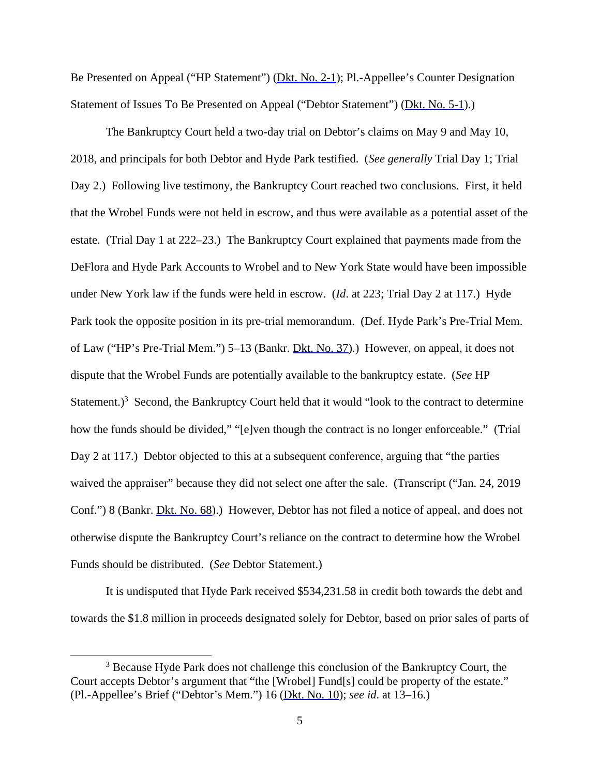Be Presented on Appeal ("HP Statement") (Dkt. No. 2-1); Pl.-Appellee's Counter Designation Statement of Issues To Be Presented on Appeal ("Debtor Statement") (Dkt. No. 5-1).)

The Bankruptcy Court held a two-day trial on Debtor's claims on May 9 and May 10, 2018, and principals for both Debtor and Hyde Park testified. (*See generally* Trial Day 1; Trial Day 2.) Following live testimony, the Bankruptcy Court reached two conclusions. First, it held that the Wrobel Funds were not held in escrow, and thus were available as a potential asset of the estate. (Trial Day 1 at 222–23.) The Bankruptcy Court explained that payments made from the DeFlora and Hyde Park Accounts to Wrobel and to New York State would have been impossible under New York law if the funds were held in escrow. (*Id*. at 223; Trial Day 2 at 117.) Hyde Park took the opposite position in its pre-trial memorandum. (Def. Hyde Park's Pre-Trial Mem. of Law ("HP's Pre-Trial Mem.") 5–13 (Bankr. Dkt. No. 37).) However, on appeal, it does not dispute that the Wrobel Funds are potentially available to the bankruptcy estate. (*See* HP Statement.)<sup>3</sup> Second, the Bankruptcy Court held that it would "look to the contract to determine how the funds should be divided," "[e]ven though the contract is no longer enforceable." (Trial Day 2 at 117.) Debtor objected to this at a subsequent conference, arguing that "the parties" waived the appraiser" because they did not select one after the sale. (Transcript ("Jan. 24, 2019 Conf.") 8 (Bankr. Dkt. No. 68).) However, Debtor has not filed a notice of appeal, and does not otherwise dispute the Bankruptcy Court's reliance on the contract to determine how the Wrobel Funds should be distributed. (*See* Debtor Statement.)

It is undisputed that Hyde Park received \$534,231.58 in credit both towards the debt and towards the \$1.8 million in proceeds designated solely for Debtor, based on prior sales of parts of

<sup>&</sup>lt;sup>3</sup> Because Hyde Park does not challenge this conclusion of the Bankruptcy Court, the Court accepts Debtor's argument that "the [Wrobel] Fund[s] could be property of the estate." (Pl.-Appellee's Brief ("Debtor's Mem.") 16 (Dkt. No. 10); *see id*. at 13–16.)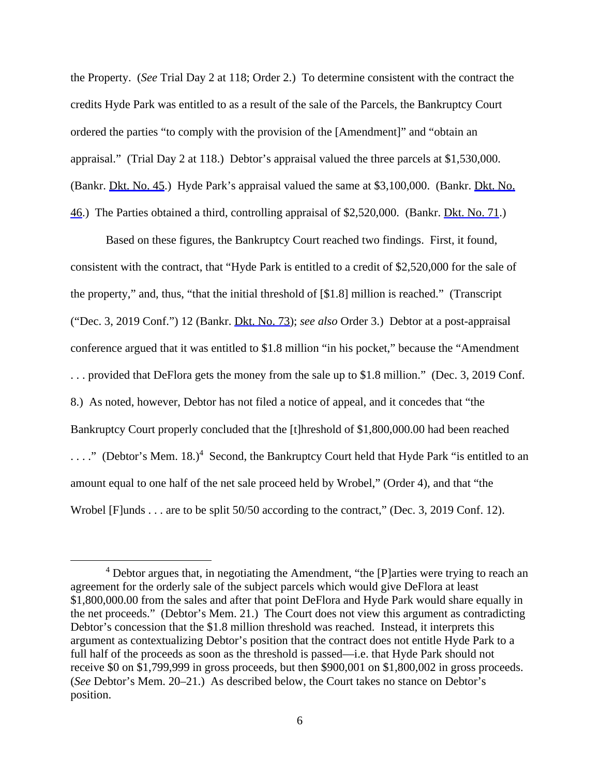the Property. (*See* Trial Day 2 at 118; Order 2.) To determine consistent with the contract the credits Hyde Park was entitled to as a result of the sale of the Parcels, the Bankruptcy Court ordered the parties "to comply with the provision of the [Amendment]" and "obtain an appraisal." (Trial Day 2 at 118.) Debtor's appraisal valued the three parcels at \$1,530,000. (Bankr. Dkt. No. 45.) Hyde Park's appraisal valued the same at \$3,100,000. (Bankr. Dkt. No. 46.) The Parties obtained a third, controlling appraisal of \$2,520,000. (Bankr. Dkt. No. 71.)

Based on these figures, the Bankruptcy Court reached two findings. First, it found, consistent with the contract, that "Hyde Park is entitled to a credit of \$2,520,000 for the sale of the property," and, thus, "that the initial threshold of [\$1.8] million is reached." (Transcript ("Dec. 3, 2019 Conf.") 12 (Bankr. Dkt. No. 73); *see also* Order 3.) Debtor at a post-appraisal conference argued that it was entitled to \$1.8 million "in his pocket," because the "Amendment . . . provided that DeFlora gets the money from the sale up to \$1.8 million." (Dec. 3, 2019 Conf. 8.) As noted, however, Debtor has not filed a notice of appeal, and it concedes that "the Bankruptcy Court properly concluded that the [t]hreshold of \$1,800,000.00 had been reached ...." (Debtor's Mem. 18.)<sup>4</sup> Second, the Bankruptcy Court held that Hyde Park "is entitled to an amount equal to one half of the net sale proceed held by Wrobel," (Order 4), and that "the Wrobel [F]unds . . . are to be split 50/50 according to the contract," (Dec. 3, 2019 Conf. 12).

<sup>&</sup>lt;sup>4</sup> Debtor argues that, in negotiating the Amendment, "the [P]arties were trying to reach an agreement for the orderly sale of the subject parcels which would give DeFlora at least \$1,800,000.00 from the sales and after that point DeFlora and Hyde Park would share equally in the net proceeds." (Debtor's Mem. 21.) The Court does not view this argument as contradicting Debtor's concession that the \$1.8 million threshold was reached. Instead, it interprets this argument as contextualizing Debtor's position that the contract does not entitle Hyde Park to a full half of the proceeds as soon as the threshold is passed—i.e. that Hyde Park should not receive \$0 on \$1,799,999 in gross proceeds, but then \$900,001 on \$1,800,002 in gross proceeds. (*See* Debtor's Mem. 20–21.) As described below, the Court takes no stance on Debtor's position.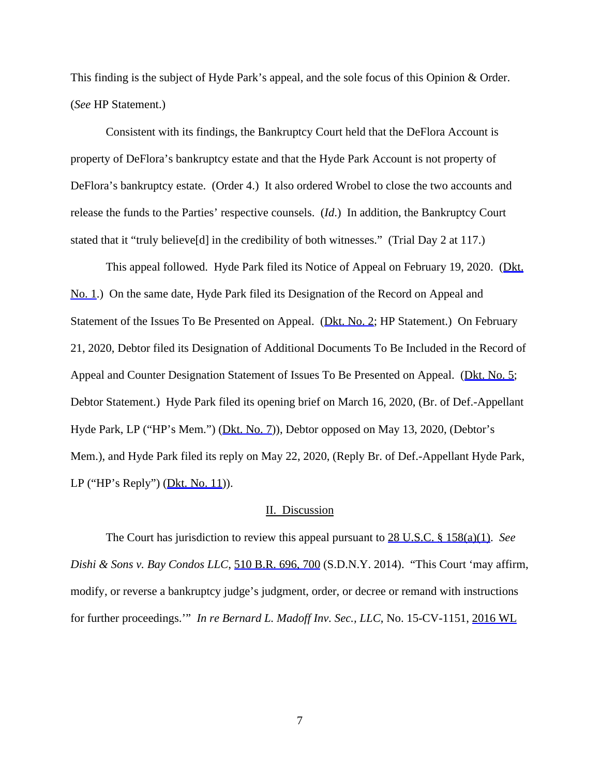This finding is the subject of Hyde Park's appeal, and the sole focus of this Opinion & Order. (*See* HP Statement.)

Consistent with its findings, the Bankruptcy Court held that the DeFlora Account is property of DeFlora's bankruptcy estate and that the Hyde Park Account is not property of DeFlora's bankruptcy estate. (Order 4.) It also ordered Wrobel to close the two accounts and release the funds to the Parties' respective counsels. (*Id*.) In addition, the Bankruptcy Court stated that it "truly believe<sup>[d]</sup> in the credibility of both witnesses." (Trial Day 2 at 117.)

This appeal followed. Hyde Park filed its Notice of Appeal on February 19, 2020. (Dkt. No. 1.) On the same date, Hyde Park filed its Designation of the Record on Appeal and Statement of the Issues To Be Presented on Appeal. (Dkt. No. 2; HP Statement.) On February 21, 2020, Debtor filed its Designation of Additional Documents To Be Included in the Record of Appeal and Counter Designation Statement of Issues To Be Presented on Appeal. (Dkt. No. 5; Debtor Statement.) Hyde Park filed its opening brief on March 16, 2020, (Br. of Def.-Appellant Hyde Park, LP ("HP's Mem.") (Dkt. No. 7)), Debtor opposed on May 13, 2020, (Debtor's Mem.), and Hyde Park filed its reply on May 22, 2020, (Reply Br. of Def.-Appellant Hyde Park, LP ("HP's Reply")  $(Dkt. No. 11)$ ).

#### II. Discussion

 The Court has jurisdiction to review this appeal pursuant to 28 U.S.C. § 158(a)(1). *See Dishi & Sons v. Bay Condos LLC*, 510 B.R. 696, 700 (S.D.N.Y. 2014). "This Court 'may affirm, modify, or reverse a bankruptcy judge's judgment, order, or decree or remand with instructions for further proceedings.'" *In re Bernard L. Madoff Inv. Sec., LLC*, No. 15-CV-1151, 2016 WL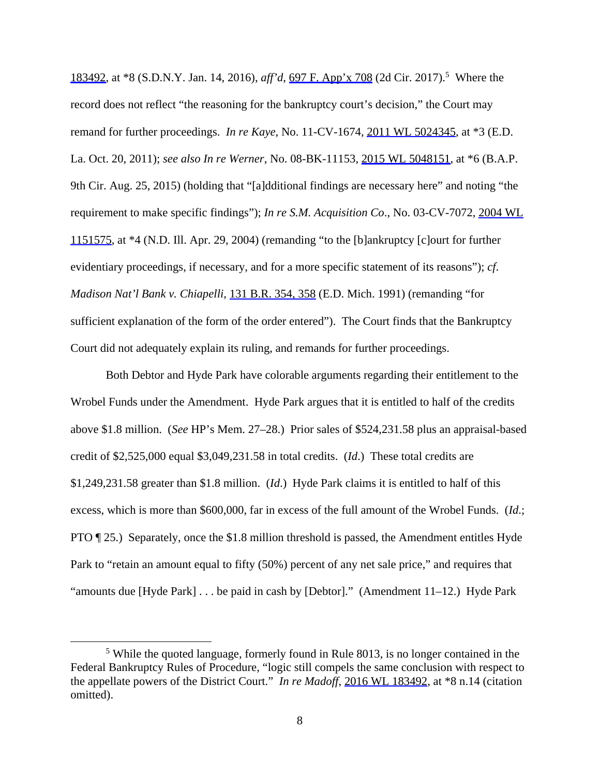183492, at \*8 (S.D.N.Y. Jan. 14, 2016), *aff'd*, <u>697 F. App'x 708</u> (2d Cir. 2017).<sup>5</sup> Where the record does not reflect "the reasoning for the bankruptcy court's decision," the Court may remand for further proceedings. *In re Kaye*, No. 11-CV-1674, 2011 WL 5024345, at \*3 (E.D. La. Oct. 20, 2011); *see also In re Werner*, No. 08-BK-11153, 2015 WL 5048151, at \*6 (B.A.P. 9th Cir. Aug. 25, 2015) (holding that "[a]dditional findings are necessary here" and noting "the requirement to make specific findings"); *In re S.M. Acquisition Co*., No. 03-CV-7072, 2004 WL 1151575, at \*4 (N.D. Ill. Apr. 29, 2004) (remanding "to the [b]ankruptcy [c]ourt for further evidentiary proceedings, if necessary, and for a more specific statement of its reasons"); *cf*. *Madison Nat'l Bank v. Chiapelli*, 131 B.R. 354, 358 (E.D. Mich. 1991) (remanding "for sufficient explanation of the form of the order entered"). The Court finds that the Bankruptcy Court did not adequately explain its ruling, and remands for further proceedings.

Both Debtor and Hyde Park have colorable arguments regarding their entitlement to the Wrobel Funds under the Amendment. Hyde Park argues that it is entitled to half of the credits above \$1.8 million. (*See* HP's Mem. 27–28.) Prior sales of \$524,231.58 plus an appraisal-based credit of \$2,525,000 equal \$3,049,231.58 in total credits. (*Id*.) These total credits are \$1,249,231.58 greater than \$1.8 million. (*Id*.) Hyde Park claims it is entitled to half of this excess, which is more than \$600,000, far in excess of the full amount of the Wrobel Funds. (*Id*.; PTO ¶ 25.) Separately, once the \$1.8 million threshold is passed, the Amendment entitles Hyde Park to "retain an amount equal to fifty (50%) percent of any net sale price," and requires that "amounts due [Hyde Park] . . . be paid in cash by [Debtor]." (Amendment 11–12.) Hyde Park

<sup>&</sup>lt;sup>5</sup> While the quoted language, formerly found in Rule 8013, is no longer contained in the Federal Bankruptcy Rules of Procedure, "logic still compels the same conclusion with respect to the appellate powers of the District Court." *In re Madoff*, 2016 WL 183492, at \*8 n.14 (citation omitted).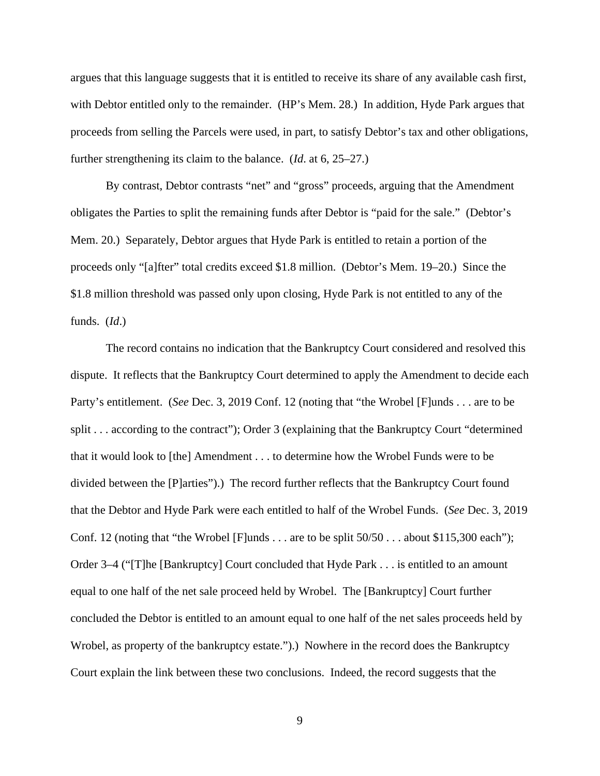argues that this language suggests that it is entitled to receive its share of any available cash first, with Debtor entitled only to the remainder. (HP's Mem. 28.) In addition, Hyde Park argues that proceeds from selling the Parcels were used, in part, to satisfy Debtor's tax and other obligations, further strengthening its claim to the balance. (*Id*. at 6, 25–27.)

By contrast, Debtor contrasts "net" and "gross" proceeds, arguing that the Amendment obligates the Parties to split the remaining funds after Debtor is "paid for the sale." (Debtor's Mem. 20.) Separately, Debtor argues that Hyde Park is entitled to retain a portion of the proceeds only "[a]fter" total credits exceed \$1.8 million. (Debtor's Mem. 19–20.) Since the \$1.8 million threshold was passed only upon closing, Hyde Park is not entitled to any of the funds. (*Id*.)

 The record contains no indication that the Bankruptcy Court considered and resolved this dispute. It reflects that the Bankruptcy Court determined to apply the Amendment to decide each Party's entitlement. (*See* Dec. 3, 2019 Conf. 12 (noting that "the Wrobel [F]unds . . . are to be split . . . according to the contract"); Order 3 (explaining that the Bankruptcy Court "determined" that it would look to [the] Amendment . . . to determine how the Wrobel Funds were to be divided between the [P]arties").) The record further reflects that the Bankruptcy Court found that the Debtor and Hyde Park were each entitled to half of the Wrobel Funds. (*See* Dec. 3, 2019 Conf. 12 (noting that "the Wrobel [F]unds . . . are to be split  $50/50$  . . . about \$115,300 each"); Order 3–4 ("[T]he [Bankruptcy] Court concluded that Hyde Park . . . is entitled to an amount equal to one half of the net sale proceed held by Wrobel. The [Bankruptcy] Court further concluded the Debtor is entitled to an amount equal to one half of the net sales proceeds held by Wrobel, as property of the bankruptcy estate.").) Nowhere in the record does the Bankruptcy Court explain the link between these two conclusions. Indeed, the record suggests that the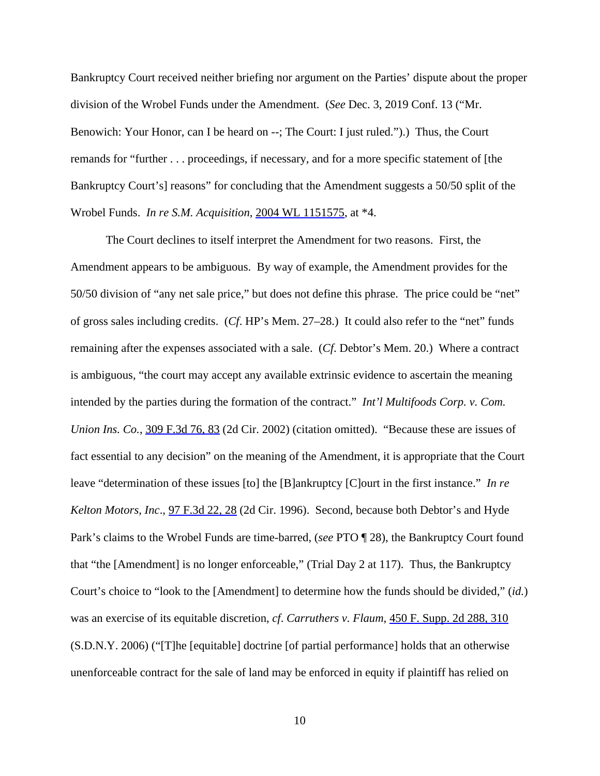Bankruptcy Court received neither briefing nor argument on the Parties' dispute about the proper division of the Wrobel Funds under the Amendment. (*See* Dec. 3, 2019 Conf. 13 ("Mr. Benowich: Your Honor, can I be heard on --; The Court: I just ruled.").) Thus, the Court remands for "further . . . proceedings, if necessary, and for a more specific statement of [the Bankruptcy Court's] reasons" for concluding that the Amendment suggests a 50/50 split of the Wrobel Funds. *In re S.M. Acquisition*, 2004 WL 1151575, at \*4.

The Court declines to itself interpret the Amendment for two reasons. First, the Amendment appears to be ambiguous. By way of example, the Amendment provides for the 50/50 division of "any net sale price," but does not define this phrase. The price could be "net" of gross sales including credits. (*Cf*. HP's Mem. 27–28.) It could also refer to the "net" funds remaining after the expenses associated with a sale. (*Cf*. Debtor's Mem. 20.) Where a contract is ambiguous, "the court may accept any available extrinsic evidence to ascertain the meaning intended by the parties during the formation of the contract." *Int'l Multifoods Corp. v. Com. Union Ins. Co.*,  $309$  F.3d 76, 83 (2d Cir. 2002) (citation omitted). "Because these are issues of fact essential to any decision" on the meaning of the Amendment, it is appropriate that the Court leave "determination of these issues [to] the [B]ankruptcy [C]ourt in the first instance." *In re Kelton Motors, Inc*., 97 F.3d 22, 28 (2d Cir. 1996). Second, because both Debtor's and Hyde Park's claims to the Wrobel Funds are time-barred, (*see* PTO ¶ 28), the Bankruptcy Court found that "the [Amendment] is no longer enforceable," (Trial Day 2 at 117). Thus, the Bankruptcy Court's choice to "look to the [Amendment] to determine how the funds should be divided," (*id.*) was an exercise of its equitable discretion, *cf*. *Carruthers v. Flaum*, 450 F. Supp. 2d 288, 310 (S.D.N.Y. 2006) ("[T]he [equitable] doctrine [of partial performance] holds that an otherwise unenforceable contract for the sale of land may be enforced in equity if plaintiff has relied on